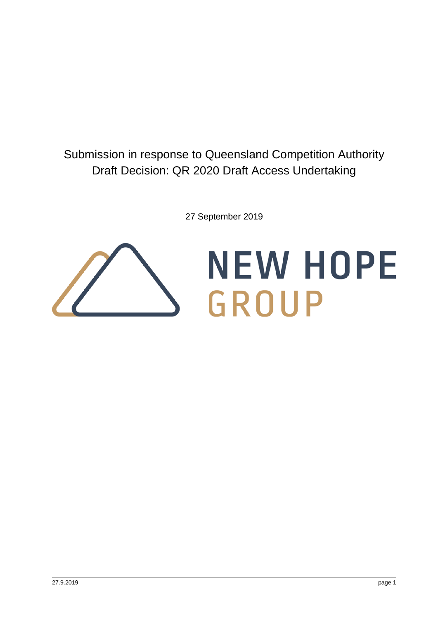# Submission in response to Queensland Competition Authority Draft Decision: QR 2020 Draft Access Undertaking

27 September 2019

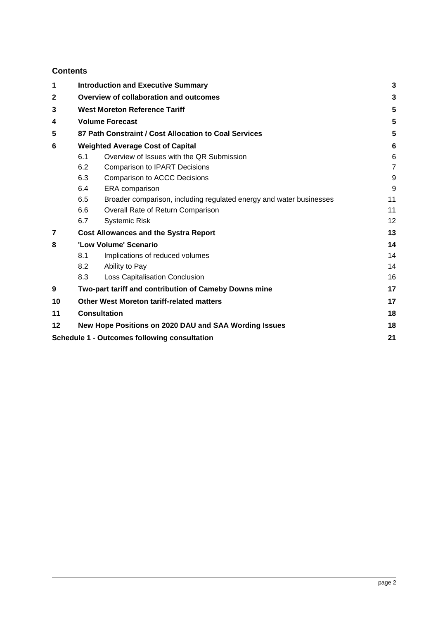## **Contents**

| 1            | <b>Introduction and Executive Summary</b>             |                                                                     |                |  |  |  |  |
|--------------|-------------------------------------------------------|---------------------------------------------------------------------|----------------|--|--|--|--|
| $\mathbf{2}$ | Overview of collaboration and outcomes                |                                                                     |                |  |  |  |  |
| 3            | <b>West Moreton Reference Tariff</b>                  |                                                                     |                |  |  |  |  |
| 4            | <b>Volume Forecast</b>                                |                                                                     |                |  |  |  |  |
| 5            | 87 Path Constraint / Cost Allocation to Coal Services |                                                                     |                |  |  |  |  |
| 6            |                                                       | <b>Weighted Average Cost of Capital</b>                             |                |  |  |  |  |
|              | 6.1                                                   | Overview of Issues with the QR Submission                           | 6              |  |  |  |  |
|              | 6.2                                                   | <b>Comparison to IPART Decisions</b>                                | $\overline{7}$ |  |  |  |  |
|              | 6.3                                                   | Comparison to ACCC Decisions                                        | 9              |  |  |  |  |
|              | 6.4                                                   | ERA comparison                                                      | 9              |  |  |  |  |
|              | 6.5                                                   | Broader comparison, including regulated energy and water businesses | 11             |  |  |  |  |
|              | 6.6                                                   | Overall Rate of Return Comparison                                   | 11             |  |  |  |  |
|              | 6.7                                                   | <b>Systemic Risk</b>                                                | 12             |  |  |  |  |
| 7            |                                                       | <b>Cost Allowances and the Systra Report</b>                        | 13             |  |  |  |  |
| 8            |                                                       | 'Low Volume' Scenario                                               |                |  |  |  |  |
|              | 8.1                                                   | Implications of reduced volumes                                     | 14             |  |  |  |  |
|              | 8.2                                                   | Ability to Pay                                                      | 14             |  |  |  |  |
|              | 8.3                                                   | Loss Capitalisation Conclusion                                      | 16             |  |  |  |  |
| 9            |                                                       | Two-part tariff and contribution of Cameby Downs mine               | 17             |  |  |  |  |
| 10           |                                                       | <b>Other West Moreton tariff-related matters</b>                    | 17             |  |  |  |  |
| 11           | <b>Consultation</b>                                   |                                                                     |                |  |  |  |  |
| 12           |                                                       | New Hope Positions on 2020 DAU and SAA Wording Issues               | 18             |  |  |  |  |
|              |                                                       | <b>Schedule 1 - Outcomes following consultation</b>                 | 21             |  |  |  |  |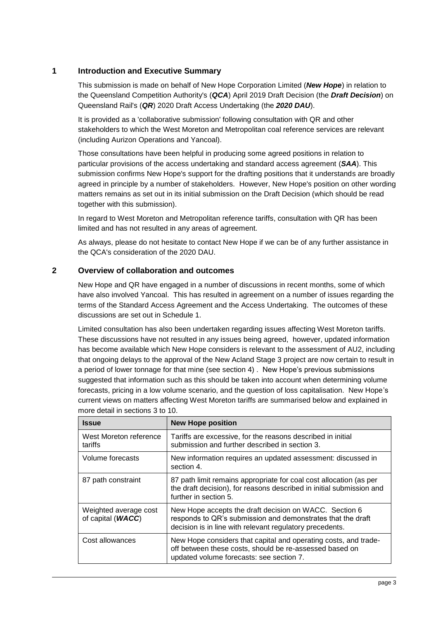## <span id="page-2-0"></span>**1 Introduction and Executive Summary**

This submission is made on behalf of New Hope Corporation Limited (*New Hope*) in relation to the Queensland Competition Authority's (*QCA*) April 2019 Draft Decision (the *Draft Decision*) on Queensland Rail's (*QR*) 2020 Draft Access Undertaking (the *2020 DAU*).

It is provided as a 'collaborative submission' following consultation with QR and other stakeholders to which the West Moreton and Metropolitan coal reference services are relevant (including Aurizon Operations and Yancoal).

Those consultations have been helpful in producing some agreed positions in relation to particular provisions of the access undertaking and standard access agreement (*SAA*). This submission confirms New Hope's support for the drafting positions that it understands are broadly agreed in principle by a number of stakeholders. However, New Hope's position on other wording matters remains as set out in its initial submission on the Draft Decision (which should be read together with this submission).

In regard to West Moreton and Metropolitan reference tariffs, consultation with QR has been limited and has not resulted in any areas of agreement.

As always, please do not hesitate to contact New Hope if we can be of any further assistance in the QCA's consideration of the 2020 DAU.

## <span id="page-2-1"></span>**2 Overview of collaboration and outcomes**

New Hope and QR have engaged in a number of discussions in recent months, some of which have also involved Yancoal. This has resulted in agreement on a number of issues regarding the terms of the Standard Access Agreement and the Access Undertaking. The outcomes of these discussions are set out in Schedule 1.

Limited consultation has also been undertaken regarding issues affecting West Moreton tariffs. These discussions have not resulted in any issues being agreed, however, updated information has become available which New Hope considers is relevant to the assessment of AU2, including that ongoing delays to the approval of the New Acland Stage 3 project are now certain to result in a period of lower tonnage for that mine (see section 4) . New Hope's previous submissions suggested that information such as this should be taken into account when determining volume forecasts, pricing in a low volume scenario, and the question of loss capitalisation. New Hope's current views on matters affecting West Moreton tariffs are summarised below and explained in more detail in sections 3 to 10.

| <b>Issue</b>                               | <b>New Hope position</b>                                                                                                                                                          |
|--------------------------------------------|-----------------------------------------------------------------------------------------------------------------------------------------------------------------------------------|
| West Moreton reference<br>tariffs          | Tariffs are excessive, for the reasons described in initial<br>submission and further described in section 3.                                                                     |
| Volume forecasts                           | New information requires an updated assessment: discussed in<br>section 4.                                                                                                        |
| 87 path constraint                         | 87 path limit remains appropriate for coal cost allocation (as per<br>the draft decision), for reasons described in initial submission and<br>further in section 5.               |
| Weighted average cost<br>of capital (WACC) | New Hope accepts the draft decision on WACC. Section 6<br>responds to QR's submission and demonstrates that the draft<br>decision is in line with relevant regulatory precedents. |
| Cost allowances                            | New Hope considers that capital and operating costs, and trade-<br>off between these costs, should be re-assessed based on<br>updated volume forecasts: see section 7.            |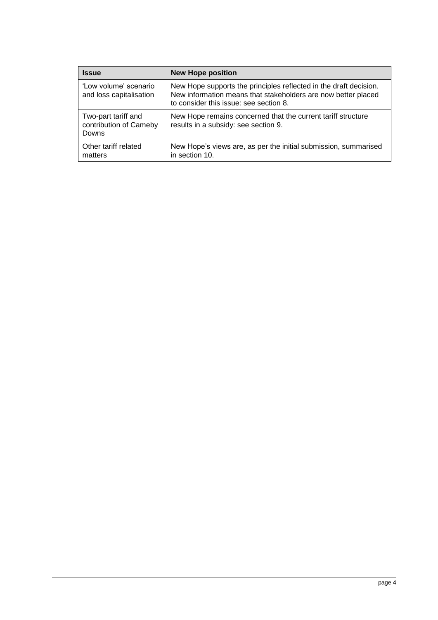| <b>Issue</b>                                           | <b>New Hope position</b>                                                                                                                                                     |
|--------------------------------------------------------|------------------------------------------------------------------------------------------------------------------------------------------------------------------------------|
| 'Low volume' scenario<br>and loss capitalisation       | New Hope supports the principles reflected in the draft decision.<br>New information means that stakeholders are now better placed<br>to consider this issue: see section 8. |
| Two-part tariff and<br>contribution of Cameby<br>Downs | New Hope remains concerned that the current tariff structure<br>results in a subsidy: see section 9.                                                                         |
| Other tariff related<br>matters                        | New Hope's views are, as per the initial submission, summarised<br>in section 10.                                                                                            |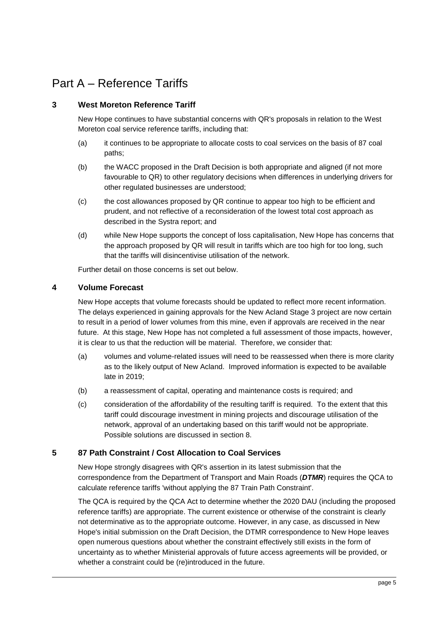## Part A – Reference Tariffs

## <span id="page-4-0"></span>**3 West Moreton Reference Tariff**

New Hope continues to have substantial concerns with QR's proposals in relation to the West Moreton coal service reference tariffs, including that:

- (a) it continues to be appropriate to allocate costs to coal services on the basis of 87 coal paths;
- (b) the WACC proposed in the Draft Decision is both appropriate and aligned (if not more favourable to QR) to other regulatory decisions when differences in underlying drivers for other regulated businesses are understood;
- (c) the cost allowances proposed by QR continue to appear too high to be efficient and prudent, and not reflective of a reconsideration of the lowest total cost approach as described in the Systra report; and
- (d) while New Hope supports the concept of loss capitalisation, New Hope has concerns that the approach proposed by QR will result in tariffs which are too high for too long, such that the tariffs will disincentivise utilisation of the network.

Further detail on those concerns is set out below.

## <span id="page-4-1"></span>**4 Volume Forecast**

New Hope accepts that volume forecasts should be updated to reflect more recent information. The delays experienced in gaining approvals for the New Acland Stage 3 project are now certain to result in a period of lower volumes from this mine, even if approvals are received in the near future. At this stage, New Hope has not completed a full assessment of those impacts, however, it is clear to us that the reduction will be material. Therefore, we consider that:

- (a) volumes and volume-related issues will need to be reassessed when there is more clarity as to the likely output of New Acland. Improved information is expected to be available late in 2019;
- (b) a reassessment of capital, operating and maintenance costs is required; and
- (c) consideration of the affordability of the resulting tariff is required. To the extent that this tariff could discourage investment in mining projects and discourage utilisation of the network, approval of an undertaking based on this tariff would not be appropriate. Possible solutions are discussed in section 8.

## <span id="page-4-2"></span>**5 87 Path Constraint / Cost Allocation to Coal Services**

New Hope strongly disagrees with QR's assertion in its latest submission that the correspondence from the Department of Transport and Main Roads (*DTMR*) requires the QCA to calculate reference tariffs 'without applying the 87 Train Path Constraint'.

The QCA is required by the QCA Act to determine whether the 2020 DAU (including the proposed reference tariffs) are appropriate. The current existence or otherwise of the constraint is clearly not determinative as to the appropriate outcome. However, in any case, as discussed in New Hope's initial submission on the Draft Decision, the DTMR correspondence to New Hope leaves open numerous questions about whether the constraint effectively still exists in the form of uncertainty as to whether Ministerial approvals of future access agreements will be provided, or whether a constraint could be (re)introduced in the future.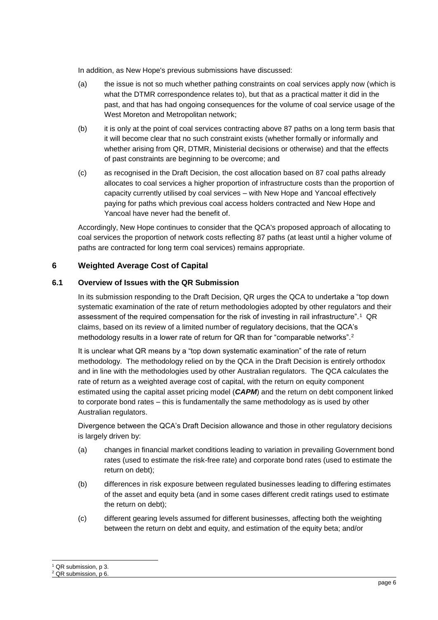In addition, as New Hope's previous submissions have discussed:

- (a) the issue is not so much whether pathing constraints on coal services apply now (which is what the DTMR correspondence relates to), but that as a practical matter it did in the past, and that has had ongoing consequences for the volume of coal service usage of the West Moreton and Metropolitan network;
- (b) it is only at the point of coal services contracting above 87 paths on a long term basis that it will become clear that no such constraint exists (whether formally or informally and whether arising from QR, DTMR, Ministerial decisions or otherwise) and that the effects of past constraints are beginning to be overcome; and
- (c) as recognised in the Draft Decision, the cost allocation based on 87 coal paths already allocates to coal services a higher proportion of infrastructure costs than the proportion of capacity currently utilised by coal services – with New Hope and Yancoal effectively paying for paths which previous coal access holders contracted and New Hope and Yancoal have never had the benefit of.

Accordingly, New Hope continues to consider that the QCA's proposed approach of allocating to coal services the proportion of network costs reflecting 87 paths (at least until a higher volume of paths are contracted for long term coal services) remains appropriate.

## <span id="page-5-0"></span>**6 Weighted Average Cost of Capital**

#### <span id="page-5-1"></span>**6.1 Overview of Issues with the QR Submission**

In its submission responding to the Draft Decision, QR urges the QCA to undertake a "top down systematic examination of the rate of return methodologies adopted by other regulators and their assessment of the required compensation for the risk of investing in rail infrastructure".<sup>1</sup> QR claims, based on its review of a limited number of regulatory decisions, that the QCA's methodology results in a lower rate of return for QR than for "comparable networks".<sup>2</sup>

It is unclear what QR means by a "top down systematic examination" of the rate of return methodology. The methodology relied on by the QCA in the Draft Decision is entirely orthodox and in line with the methodologies used by other Australian regulators. The QCA calculates the rate of return as a weighted average cost of capital, with the return on equity component estimated using the capital asset pricing model (*CAPM*) and the return on debt component linked to corporate bond rates – this is fundamentally the same methodology as is used by other Australian regulators.

Divergence between the QCA's Draft Decision allowance and those in other regulatory decisions is largely driven by:

- (a) changes in financial market conditions leading to variation in prevailing Government bond rates (used to estimate the risk-free rate) and corporate bond rates (used to estimate the return on debt);
- (b) differences in risk exposure between regulated businesses leading to differing estimates of the asset and equity beta (and in some cases different credit ratings used to estimate the return on debt);
- (c) different gearing levels assumed for different businesses, affecting both the weighting between the return on debt and equity, and estimation of the equity beta; and/or

-

<sup>&</sup>lt;sup>1</sup> QR submission, p 3.

<sup>&</sup>lt;sup>2</sup> QR submission, p 6.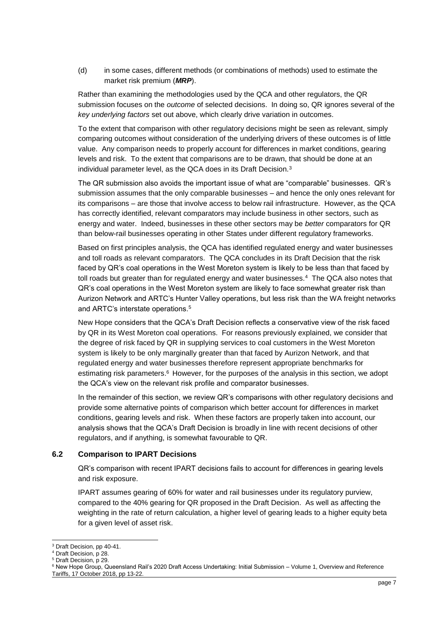(d) in some cases, different methods (or combinations of methods) used to estimate the market risk premium (*MRP*).

Rather than examining the methodologies used by the QCA and other regulators, the QR submission focuses on the *outcome* of selected decisions. In doing so, QR ignores several of the *key underlying factors* set out above, which clearly drive variation in outcomes.

To the extent that comparison with other regulatory decisions might be seen as relevant, simply comparing outcomes without consideration of the underlying drivers of these outcomes is of little value. Any comparison needs to properly account for differences in market conditions, gearing levels and risk. To the extent that comparisons are to be drawn, that should be done at an individual parameter level, as the QCA does in its Draft Decision.<sup>3</sup>

The QR submission also avoids the important issue of what are "comparable" businesses. QR's submission assumes that the only comparable businesses – and hence the only ones relevant for its comparisons – are those that involve access to below rail infrastructure. However, as the QCA has correctly identified, relevant comparators may include business in other sectors, such as energy and water. Indeed, businesses in these other sectors may be *better* comparators for QR than below-rail businesses operating in other States under different regulatory frameworks.

Based on first principles analysis, the QCA has identified regulated energy and water businesses and toll roads as relevant comparators. The QCA concludes in its Draft Decision that the risk faced by QR's coal operations in the West Moreton system is likely to be less than that faced by toll roads but greater than for regulated energy and water businesses.<sup>4</sup> The QCA also notes that QR's coal operations in the West Moreton system are likely to face somewhat greater risk than Aurizon Network and ARTC's Hunter Valley operations, but less risk than the WA freight networks and ARTC's interstate operations.<sup>5</sup>

New Hope considers that the QCA's Draft Decision reflects a conservative view of the risk faced by QR in its West Moreton coal operations. For reasons previously explained, we consider that the degree of risk faced by QR in supplying services to coal customers in the West Moreton system is likely to be only marginally greater than that faced by Aurizon Network, and that regulated energy and water businesses therefore represent appropriate benchmarks for estimating risk parameters.<sup>6</sup> However, for the purposes of the analysis in this section, we adopt the QCA's view on the relevant risk profile and comparator businesses.

In the remainder of this section, we review QR's comparisons with other regulatory decisions and provide some alternative points of comparison which better account for differences in market conditions, gearing levels and risk. When these factors are properly taken into account, our analysis shows that the QCA's Draft Decision is broadly in line with recent decisions of other regulators, and if anything, is somewhat favourable to QR.

#### <span id="page-6-0"></span>**6.2 Comparison to IPART Decisions**

QR's comparison with recent IPART decisions fails to account for differences in gearing levels and risk exposure.

IPART assumes gearing of 60% for water and rail businesses under its regulatory purview, compared to the 40% gearing for QR proposed in the Draft Decision. As well as affecting the weighting in the rate of return calculation, a higher level of gearing leads to a higher equity beta for a given level of asset risk.

1

<sup>3</sup> Draft Decision, pp 40-41.

<sup>4</sup> Draft Decision, p 28.

<sup>5</sup> Draft Decision, p 29.

<sup>&</sup>lt;sup>6</sup> New Hope Group, Queensland Rail's 2020 Draft Access Undertaking: Initial Submission – Volume 1, Overview and Reference Tariffs, 17 October 2018, pp 13-22.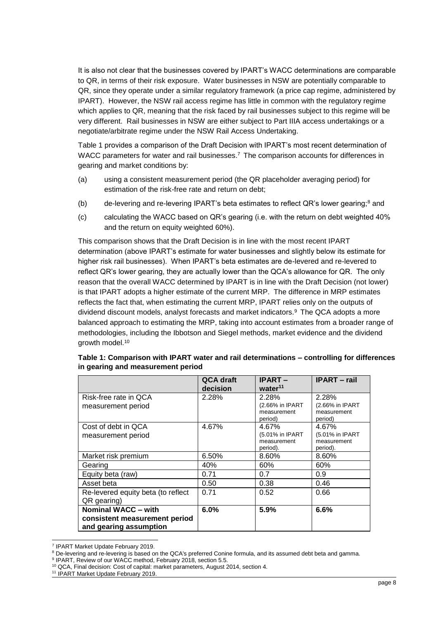It is also not clear that the businesses covered by IPART's WACC determinations are comparable to QR, in terms of their risk exposure. Water businesses in NSW are potentially comparable to QR, since they operate under a similar regulatory framework (a price cap regime, administered by IPART). However, the NSW rail access regime has little in common with the regulatory regime which applies to QR, meaning that the risk faced by rail businesses subject to this regime will be very different. Rail businesses in NSW are either subject to Part IIIA access undertakings or a negotiate/arbitrate regime under the NSW Rail Access Undertaking.

[Table 1](#page-7-0) provides a comparison of the Draft Decision with IPART's most recent determination of WACC parameters for water and rail businesses.<sup>7</sup> The comparison accounts for differences in gearing and market conditions by:

- (a) using a consistent measurement period (the QR placeholder averaging period) for estimation of the risk-free rate and return on debt;
- (b) de-levering and re-levering IPART's beta estimates to reflect QR's lower gearing; $^8$  and
- (c) calculating the WACC based on QR's gearing (i.e. with the return on debt weighted 40% and the return on equity weighted 60%).

This comparison shows that the Draft Decision is in line with the most recent IPART determination (above IPART's estimate for water businesses and slightly below its estimate for higher risk rail businesses). When IPART's beta estimates are de-levered and re-levered to reflect QR's lower gearing, they are actually lower than the QCA's allowance for QR. The only reason that the overall WACC determined by IPART is in line with the Draft Decision (not lower) is that IPART adopts a higher estimate of the current MRP. The difference in MRP estimates reflects the fact that, when estimating the current MRP, IPART relies only on the outputs of dividend discount models, analyst forecasts and market indicators.<sup>9</sup> The QCA adopts a more balanced approach to estimating the MRP, taking into account estimates from a broader range of methodologies, including the Ibbotson and Siegel methods, market evidence and the dividend growth model.<sup>10</sup>

|                                    | <b>QCA draft</b> | <b>IPART-</b>       | <b>IPART</b> – rail |
|------------------------------------|------------------|---------------------|---------------------|
|                                    | decision         | water <sup>11</sup> |                     |
| Risk-free rate in QCA              | 2.28%            | 2.28%               | 2.28%               |
| measurement period                 |                  | (2.66% in IPART     | (2.66% in IPART     |
|                                    |                  | measurement         | measurement         |
|                                    |                  | period)             | period)             |
| Cost of debt in QCA                | 4.67%            | 4.67%               | 4.67%               |
| measurement period                 |                  | (5.01% in IPART     | (5.01% in IPART     |
|                                    |                  | measurement         | measurement         |
|                                    |                  | period).            | period).            |
| Market risk premium                | 6.50%            | 8.60%               | 8.60%               |
| Gearing                            | 40%              | 60%                 | 60%                 |
| Equity beta (raw)                  | 0.71             | 0.7                 | 0.9                 |
| Asset beta                         | 0.50             | 0.38                | 0.46                |
| Re-levered equity beta (to reflect | 0.71             | 0.52                | 0.66                |
| QR gearing)                        |                  |                     |                     |
| <b>Nominal WACC - with</b>         | 6.0%             | 5.9%                | 6.6%                |
| consistent measurement period      |                  |                     |                     |
| and gearing assumption             |                  |                     |                     |

<span id="page-7-0"></span>

| Table 1: Comparison with IPART water and rail determinations – controlling for differences |  |
|--------------------------------------------------------------------------------------------|--|
| in gearing and measurement period                                                          |  |

1

<sup>11</sup> IPART Market Update February 2019.

<sup>7</sup> IPART Market Update February 2019.

<sup>8</sup> De-levering and re-levering is based on the QCA's preferred Conine formula, and its assumed debt beta and gamma.

<sup>&</sup>lt;sup>9</sup> IPART, Review of our WACC method, February 2018, section 5.5.

<sup>10</sup> QCA, Final decision: Cost of capital: market parameters, August 2014, section 4.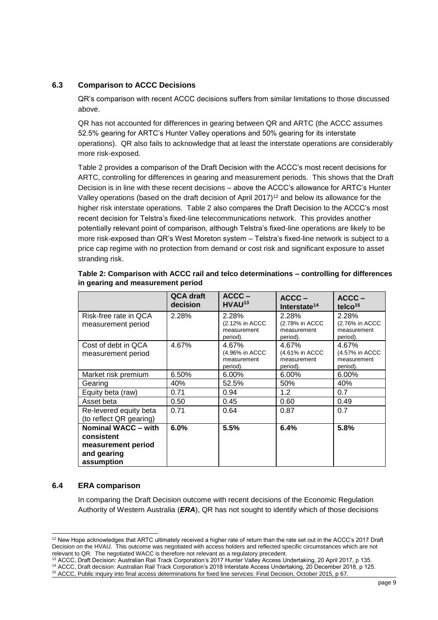#### <span id="page-8-0"></span>**6.3 Comparison to ACCC Decisions**

QR's comparison with recent ACCC decisions suffers from similar limitations to those discussed above.

QR has not accounted for differences in gearing between QR and ARTC (the ACCC assumes 52.5% gearing for ARTC's Hunter Valley operations and 50% gearing for its interstate operations). QR also fails to acknowledge that at least the interstate operations are considerably more risk-exposed.

[Table 2](#page-8-2) provides a comparison of the Draft Decision with the ACCC's most recent decisions for ARTC, controlling for differences in gearing and measurement periods. This shows that the Draft Decision is in line with these recent decisions – above the ACCC's allowance for ARTC's Hunter Valley operations (based on the draft decision of April 2017)<sup>12</sup> and below its allowance for the higher risk interstate operations. [Table 2](#page-8-2) also compares the Draft Decision to the ACCC's most recent decision for Telstra's fixed-line telecommunications network. This provides another potentially relevant point of comparison, although Telstra's fixed-line operations are likely to be more risk-exposed than QR's West Moreton system – Telstra's fixed-line network is subject to a price cap regime with no protection from demand or cost risk and significant exposure to asset stranding risk.

|                                                                                             | QCA draft<br>decision | $ACCC -$<br>HVAU <sup>13</sup>                     | $ACCC -$<br>Interstate <sup>14</sup>               | $ACCC -$<br>telco $15$                             |
|---------------------------------------------------------------------------------------------|-----------------------|----------------------------------------------------|----------------------------------------------------|----------------------------------------------------|
| Risk-free rate in QCA<br>measurement period                                                 | 2.28%                 | 2.28%<br>(2.12% in ACCC<br>measurement<br>period). | 2.28%<br>(2.78% in ACCC<br>measurement<br>period). | 2.28%<br>(2.76% in ACCC<br>measurement<br>period). |
| Cost of debt in QCA<br>measurement period                                                   | 4.67%                 | 4.67%<br>(4.96% in ACCC<br>measurement<br>period). | 4.67%<br>(4.61% in ACCC<br>measurement<br>period). | 4.67%<br>(4.57% in ACCC<br>measurement<br>period). |
| Market risk premium                                                                         | 6.50%                 | $6.00\%$                                           | $6.00\%$                                           | 6.00%                                              |
| Gearing                                                                                     | 40%                   | 52.5%                                              | 50%                                                | 40%                                                |
| Equity beta (raw)                                                                           | 0.71                  | 0.94                                               | 1.2                                                | 0.7                                                |
| Asset beta                                                                                  | 0.50                  | 0.45                                               | 0.60                                               | 0.49                                               |
| Re-levered equity beta<br>(to reflect QR gearing)                                           | 0.71                  | 0.64                                               | 0.87                                               | 0.7                                                |
| <b>Nominal WACC - with</b><br>consistent<br>measurement period<br>and gearing<br>assumption | 6.0%                  | 5.5%                                               | 6.4%                                               | 5.8%                                               |

<span id="page-8-2"></span>**Table 2: Comparison with ACCC rail and telco determinations – controlling for differences in gearing and measurement period**

#### <span id="page-8-1"></span>**6.4 ERA comparison**

-

In comparing the Draft Decision outcome with recent decisions of the Economic Regulation Authority of Western Australia (*ERA*), QR has not sought to identify which of those decisions

<sup>&</sup>lt;sup>12</sup> New Hope acknowledges that ARTC ultimately received a higher rate of return than the rate set out in the ACCC's 2017 Draft Decision on the HVAU. This outcome was negotiated with access holders and reflected specific circumstances which are not relevant to QR. The negotiated WACC is therefore not relevant as a regulatory precedent.

<sup>&</sup>lt;sup>13</sup> ACCC, Draft Decision: Australian Rail Track Corporation's 2017 Hunter Valley Access Undertaking, 20 April 2017, p 135. <sup>14</sup> ACCC, Draft decision: Australian Rail Track Corporation's 2018 Interstate Access Undertaking, 20 December 2018, p 125.

<sup>15</sup> ACCC, Public inquiry into final access determinations for fixed line services: Final Decision, October 2015, p 67.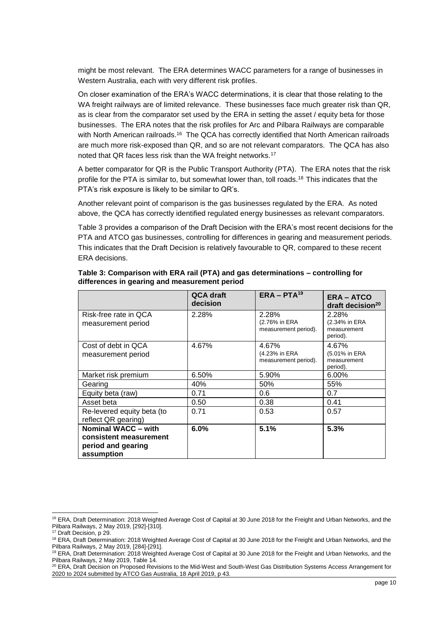might be most relevant. The ERA determines WACC parameters for a range of businesses in Western Australia, each with very different risk profiles.

On closer examination of the ERA's WACC determinations, it is clear that those relating to the WA freight railways are of limited relevance. These businesses face much greater risk than QR, as is clear from the comparator set used by the ERA in setting the asset / equity beta for those businesses. The ERA notes that the risk profiles for Arc and Pilbara Railways are comparable with North American railroads.<sup>16</sup> The QCA has correctly identified that North American railroads are much more risk-exposed than QR, and so are not relevant comparators. The QCA has also noted that QR faces less risk than the WA freight networks.<sup>17</sup>

A better comparator for QR is the Public Transport Authority (PTA). The ERA notes that the risk profile for the PTA is similar to, but somewhat lower than, toll roads.<sup>18</sup> This indicates that the PTA's risk exposure is likely to be similar to QR's.

Another relevant point of comparison is the gas businesses regulated by the ERA. As noted above, the QCA has correctly identified regulated energy businesses as relevant comparators.

[Table 3](#page-9-0) provides a comparison of the Draft Decision with the ERA's most recent decisions for the PTA and ATCO gas businesses, controlling for differences in gearing and measurement periods. This indicates that the Draft Decision is relatively favourable to QR, compared to these recent ERA decisions.

|                                                                                   | QCA draft<br>decision | $ERA - PTA19$                                  | <b>ERA-ATCO</b><br>draft decision <sup>20</sup>   |
|-----------------------------------------------------------------------------------|-----------------------|------------------------------------------------|---------------------------------------------------|
| Risk-free rate in QCA<br>measurement period                                       | 2.28%                 | 2.28%<br>(2.76% in ERA<br>measurement period). | 2.28%<br>(2.34% in ERA<br>measurement<br>period). |
| Cost of debt in QCA<br>measurement period                                         | 4.67%                 | 4.67%<br>(4.23% in ERA<br>measurement period). | 4.67%<br>(5.01% in ERA<br>measurement<br>period). |
| Market risk premium                                                               | 6.50%                 | 5.90%                                          | 6.00%                                             |
| Gearing                                                                           | 40%                   | 50%                                            | 55%                                               |
| Equity beta (raw)                                                                 | 0.71                  | 0.6                                            | 0.7                                               |
| Asset beta                                                                        | 0.50                  | 0.38                                           | 0.41                                              |
| Re-levered equity beta (to<br>reflect QR gearing)                                 | 0.71                  | 0.53                                           | 0.57                                              |
| Nominal WACC - with<br>consistent measurement<br>period and gearing<br>assumption | 6.0%                  | 5.1%                                           | 5.3%                                              |

#### <span id="page-9-0"></span>**Table 3: Comparison with ERA rail (PTA) and gas determinations – controlling for differences in gearing and measurement period**

1

<sup>&</sup>lt;sup>16</sup> ERA, Draft Determination: 2018 Weighted Average Cost of Capital at 30 June 2018 for the Freight and Urban Networks, and the Pilbara Railways, 2 May 2019, [292]-[310].

<sup>&</sup>lt;sup>17</sup> Draft Decision, p 29.

<sup>&</sup>lt;sup>18</sup> ERA, Draft Determination: 2018 Weighted Average Cost of Capital at 30 June 2018 for the Freight and Urban Networks, and the Pilbara Railways, 2 May 2019, [284]-[291].

<sup>19</sup> ERA, Draft Determination: 2018 Weighted Average Cost of Capital at 30 June 2018 for the Freight and Urban Networks, and the Pilbara Railways, 2 May 2019, Table 14.

<sup>&</sup>lt;sup>20</sup> ERA, Draft Decision on Proposed Revisions to the Mid-West and South-West Gas Distribution Systems Access Arrangement for 2020 to 2024 submitted by ATCO Gas Australia, 18 April 2019, p 43.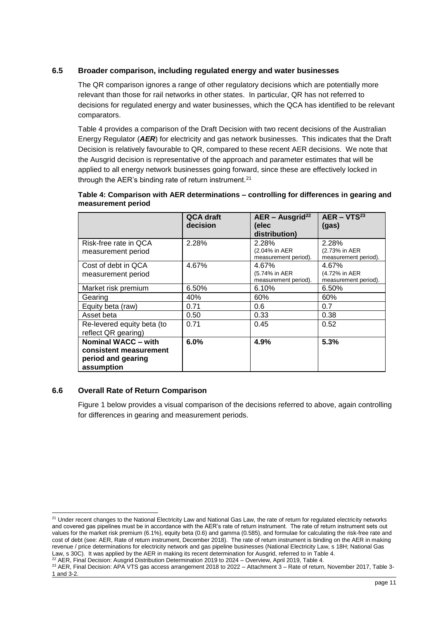#### <span id="page-10-0"></span>**6.5 Broader comparison, including regulated energy and water businesses**

The QR comparison ignores a range of other regulatory decisions which are potentially more relevant than those for rail networks in other states. In particular, QR has not referred to decisions for regulated energy and water businesses, which the QCA has identified to be relevant comparators.

[Table 4](#page-10-2) provides a comparison of the Draft Decision with two recent decisions of the Australian Energy Regulator (*AER*) for electricity and gas network businesses. This indicates that the Draft Decision is relatively favourable to QR, compared to these recent AER decisions. We note that the Ausgrid decision is representative of the approach and parameter estimates that will be applied to all energy network businesses going forward, since these are effectively locked in through the AER's binding rate of return instrument.<sup>21</sup>

|                                                                                   | QCA draft<br>decision | $AER - Ausgrid22$<br>(elec<br>distribution)    | $AER - VTS23$<br>(gas)                         |
|-----------------------------------------------------------------------------------|-----------------------|------------------------------------------------|------------------------------------------------|
| Risk-free rate in QCA<br>measurement period                                       | 2.28%                 | 2.28%<br>(2.04% in AER<br>measurement period). | 2.28%<br>(2.73% in AER<br>measurement period). |
| Cost of debt in QCA<br>measurement period                                         | 4.67%                 | 4.67%<br>(5.74% in AER<br>measurement period). | 4.67%<br>(4.72% in AER<br>measurement period). |
| Market risk premium                                                               | 6.50%                 | 6.10%                                          | 6.50%                                          |
| Gearing                                                                           | 40%                   | 60%                                            | 60%                                            |
| Equity beta (raw)                                                                 | 0.71                  | 0.6                                            | 0.7                                            |
| Asset beta                                                                        | 0.50                  | 0.33                                           | 0.38                                           |
| Re-levered equity beta (to<br>reflect QR gearing)                                 | 0.71                  | 0.45                                           | 0.52                                           |
| Nominal WACC - with<br>consistent measurement<br>period and gearing<br>assumption | 6.0%                  | 4.9%                                           | 5.3%                                           |

#### <span id="page-10-2"></span>**Table 4: Comparison with AER determinations – controlling for differences in gearing and measurement period**

#### <span id="page-10-1"></span>**6.6 Overall Rate of Return Comparison**

[Figure 1](#page-11-1) below provides a visual comparison of the decisions referred to above, again controlling for differences in gearing and measurement periods.

<sup>22</sup> AER, Final Decision: Ausgrid Distribution Determination 2019 to 2024 – Overview, April 2019, Table 4.

<sup>1</sup>  $^{21}$  Under recent changes to the National Electricity Law and National Gas Law, the rate of return for regulated electricity networks and covered gas pipelines must be in accordance with the AER's rate of return instrument. The rate of return instrument sets out values for the market risk premium (6.1%), equity beta (0.6) and gamma (0.585), and formulae for calculating the risk-free rate and cost of debt (see: AER, Rate of return instrument, December 2018). The rate of return instrument is binding on the AER in making revenue / price determinations for electricity network and gas pipeline businesses (National Electricity Law, s 18H; National Gas Law, s 30C). It was applied by the AER in making its recent determination for Ausgrid, referred to i[n Table 4.](#page-10-2)

<sup>&</sup>lt;sup>23</sup> AER, Final Decision: APA VTS gas access arrangement 2018 to 2022 - Attachment 3 - Rate of return, November 2017, Table 3-1 and 3-2.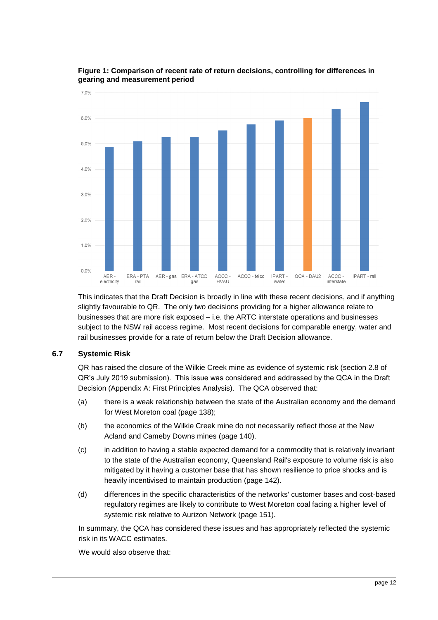

#### <span id="page-11-1"></span>**Figure 1: Comparison of recent rate of return decisions, controlling for differences in gearing and measurement period**

This indicates that the Draft Decision is broadly in line with these recent decisions, and if anything slightly favourable to QR. The only two decisions providing for a higher allowance relate to businesses that are more risk exposed – i.e. the ARTC interstate operations and businesses subject to the NSW rail access regime. Most recent decisions for comparable energy, water and rail businesses provide for a rate of return below the Draft Decision allowance.

## <span id="page-11-0"></span>**6.7 Systemic Risk**

QR has raised the closure of the Wilkie Creek mine as evidence of systemic risk (section 2.8 of QR's July 2019 submission). This issue was considered and addressed by the QCA in the Draft Decision (Appendix A: First Principles Analysis). The QCA observed that:

- (a) there is a weak relationship between the state of the Australian economy and the demand for West Moreton coal (page 138);
- (b) the economics of the Wilkie Creek mine do not necessarily reflect those at the New Acland and Cameby Downs mines (page 140).
- (c) in addition to having a stable expected demand for a commodity that is relatively invariant to the state of the Australian economy, Queensland Rail's exposure to volume risk is also mitigated by it having a customer base that has shown resilience to price shocks and is heavily incentivised to maintain production (page 142).
- (d) differences in the specific characteristics of the networks' customer bases and cost-based regulatory regimes are likely to contribute to West Moreton coal facing a higher level of systemic risk relative to Aurizon Network (page 151).

In summary, the QCA has considered these issues and has appropriately reflected the systemic risk in its WACC estimates.

We would also observe that: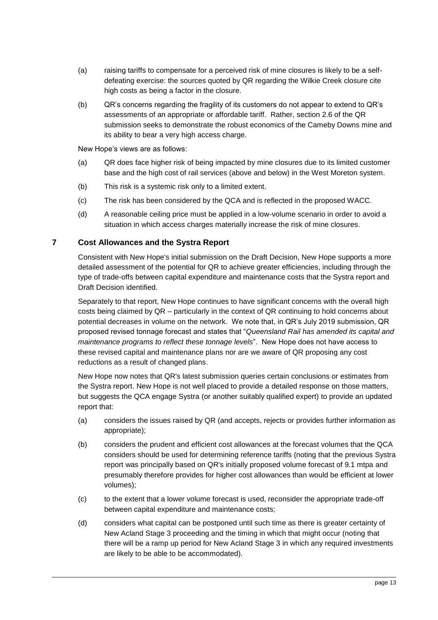- (a) raising tariffs to compensate for a perceived risk of mine closures is likely to be a selfdefeating exercise: the sources quoted by QR regarding the Wilkie Creek closure cite high costs as being a factor in the closure.
- (b) QR's concerns regarding the fragility of its customers do not appear to extend to QR's assessments of an appropriate or affordable tariff. Rather, section 2.6 of the QR submission seeks to demonstrate the robust economics of the Cameby Downs mine and its ability to bear a very high access charge.

New Hope's views are as follows:

- (a) QR does face higher risk of being impacted by mine closures due to its limited customer base and the high cost of rail services (above and below) in the West Moreton system.
- (b) This risk is a systemic risk only to a limited extent.
- (c) The risk has been considered by the QCA and is reflected in the proposed WACC.
- (d) A reasonable ceiling price must be applied in a low-volume scenario in order to avoid a situation in which access charges materially increase the risk of mine closures.

#### <span id="page-12-0"></span>**7 Cost Allowances and the Systra Report**

Consistent with New Hope's initial submission on the Draft Decision, New Hope supports a more detailed assessment of the potential for QR to achieve greater efficiencies, including through the type of trade-offs between capital expenditure and maintenance costs that the Systra report and Draft Decision identified.

Separately to that report, New Hope continues to have significant concerns with the overall high costs being claimed by QR – particularly in the context of QR continuing to hold concerns about potential decreases in volume on the network. We note that, in QR's July 2019 submission, QR proposed revised tonnage forecast and states that "*Queensland Rail has amended its capital and maintenance programs to reflect these tonnage levels*". New Hope does not have access to these revised capital and maintenance plans nor are we aware of QR proposing any cost reductions as a result of changed plans.

New Hope now notes that QR's latest submission queries certain conclusions or estimates from the Systra report. New Hope is not well placed to provide a detailed response on those matters, but suggests the QCA engage Systra (or another suitably qualified expert) to provide an updated report that:

- (a) considers the issues raised by QR (and accepts, rejects or provides further information as appropriate);
- (b) considers the prudent and efficient cost allowances at the forecast volumes that the QCA considers should be used for determining reference tariffs (noting that the previous Systra report was principally based on QR's initially proposed volume forecast of 9.1 mtpa and presumably therefore provides for higher cost allowances than would be efficient at lower volumes);
- (c) to the extent that a lower volume forecast is used, reconsider the appropriate trade-off between capital expenditure and maintenance costs;
- (d) considers what capital can be postponed until such time as there is greater certainty of New Acland Stage 3 proceeding and the timing in which that might occur (noting that there will be a ramp up period for New Acland Stage 3 in which any required investments are likely to be able to be accommodated).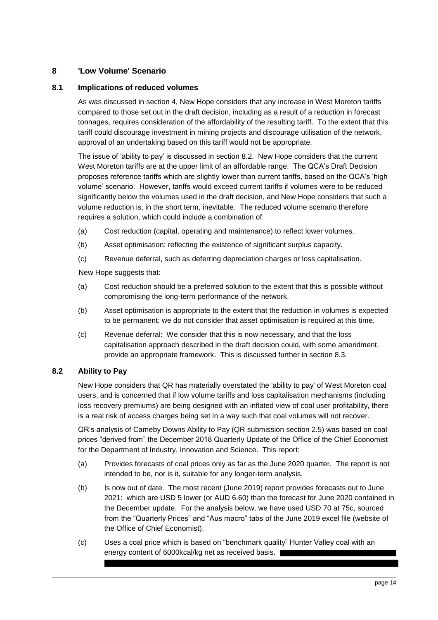## <span id="page-13-0"></span>**8 'Low Volume' Scenario**

#### <span id="page-13-1"></span>**8.1 Implications of reduced volumes**

As was discussed in section 4, New Hope considers that any increase in West Moreton tariffs compared to those set out in the draft decision, including as a result of a reduction in forecast tonnages, requires consideration of the affordability of the resulting tariff. To the extent that this tariff could discourage investment in mining projects and discourage utilisation of the network, approval of an undertaking based on this tariff would not be appropriate.

The issue of 'ability to pay' is discussed in section 8.2. New Hope considers that the current West Moreton tariffs are at the upper limit of an affordable range. The QCA's Draft Decision proposes reference tariffs which are slightly lower than current tariffs, based on the QCA's 'high volume' scenario. However, tariffs would exceed current tariffs if volumes were to be reduced significantly below the volumes used in the draft decision, and New Hope considers that such a volume reduction is, in the short term, inevitable. The reduced volume scenario therefore requires a solution, which could include a combination of:

- (a) Cost reduction (capital, operating and maintenance) to reflect lower volumes.
- (b) Asset optimisation: reflecting the existence of significant surplus capacity.
- (c) Revenue deferral, such as deferring depreciation charges or loss capitalisation.

New Hope suggests that:

- (a) Cost reduction should be a preferred solution to the extent that this is possible without compromising the long-term performance of the network.
- (b) Asset optimisation is appropriate to the extent that the reduction in volumes is expected to be permanent: we do not consider that asset optimisation is required at this time.
- (c) Revenue deferral: We consider that this is now necessary, and that the loss capitalisation approach described in the draft decision could, with some amendment, provide an appropriate framework. This is discussed further in section 8.3.

## <span id="page-13-2"></span>**8.2 Ability to Pay**

New Hope considers that QR has materially overstated the 'ability to pay' of West Moreton coal users, and is concerned that if low volume tariffs and loss capitalisation mechanisms (including loss recovery premiums) are being designed with an inflated view of coal user profitability, there is a real risk of access charges being set in a way such that coal volumes will not recover.

QR's analysis of Cameby Downs Ability to Pay (QR submission section 2.5) was based on coal prices "derived from" the December 2018 Quarterly Update of the Office of the Chief Economist for the Department of Industry, Innovation and Science. This report:

- (a) Provides forecasts of coal prices only as far as the June 2020 quarter. The report is not intended to be, nor is it, suitable for any longer-term analysis.
- (b) Is now out of date. The most recent (June 2019) report provides forecasts out to June 2021: which are USD 5 lower (or AUD 6.60) than the forecast for June 2020 contained in the December update. For the analysis below, we have used USD 70 at 75c, sourced from the "Quarterly Prices" and "Aus macro" tabs of the June 2019 excel file (website of the Office of Chief Economist).
- (c) Uses a coal price which is based on "benchmark quality" Hunter Valley coal with an energy content of 6000kcal/kg net as received basis.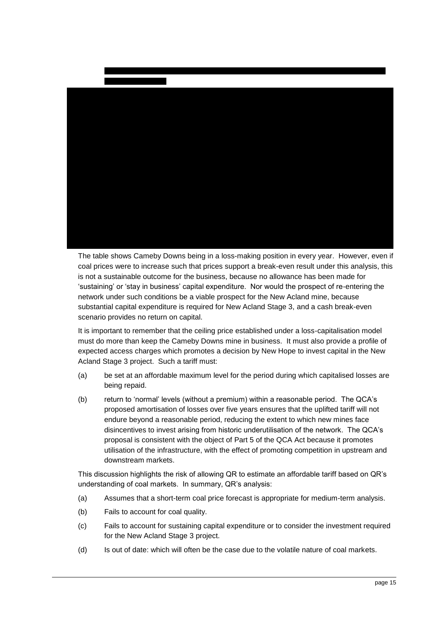

The table shows Cameby Downs being in a loss-making position in every year. However, even if coal prices were to increase such that prices support a break-even result under this analysis, this is not a sustainable outcome for the business, because no allowance has been made for 'sustaining' or 'stay in business' capital expenditure. Nor would the prospect of re-entering the network under such conditions be a viable prospect for the New Acland mine, because substantial capital expenditure is required for New Acland Stage 3, and a cash break-even scenario provides no return on capital.

It is important to remember that the ceiling price established under a loss-capitalisation model must do more than keep the Cameby Downs mine in business. It must also provide a profile of expected access charges which promotes a decision by New Hope to invest capital in the New Acland Stage 3 project. Such a tariff must:

- (a) be set at an affordable maximum level for the period during which capitalised losses are being repaid.
- (b) return to 'normal' levels (without a premium) within a reasonable period. The QCA's proposed amortisation of losses over five years ensures that the uplifted tariff will not endure beyond a reasonable period, reducing the extent to which new mines face disincentives to invest arising from historic underutilisation of the network. The QCA's proposal is consistent with the object of Part 5 of the QCA Act because it promotes utilisation of the infrastructure, with the effect of promoting competition in upstream and downstream markets.

This discussion highlights the risk of allowing QR to estimate an affordable tariff based on QR's understanding of coal markets. In summary, QR's analysis:

- (a) Assumes that a short-term coal price forecast is appropriate for medium-term analysis.
- (b) Fails to account for coal quality.
- (c) Fails to account for sustaining capital expenditure or to consider the investment required for the New Acland Stage 3 project.
- (d) Is out of date: which will often be the case due to the volatile nature of coal markets.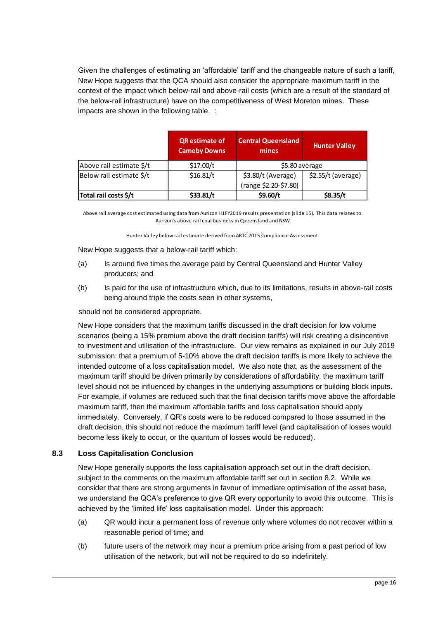Given the challenges of estimating an 'affordable' tariff and the changeable nature of such a tariff, New Hope suggests that the QCA should also consider the appropriate maximum tariff in the context of the impact which below-rail and above-rail costs (which are a result of the standard of the below-rail infrastructure) have on the competitiveness of West Moreton mines. These impacts are shown in the following table. :

|                          | <b>QR</b> estimate of<br><b>Cameby Downs</b> | <b>Central Queensland</b><br>mines        | <b>Hunter Valley</b> |  |  |
|--------------------------|----------------------------------------------|-------------------------------------------|----------------------|--|--|
| Above rail estimate \$/t | \$17.00/t                                    |                                           | \$5.80 average       |  |  |
| Below rail estimate \$/t | \$16.81/t                                    | $$2.55/t$ (average)<br>\$3.80/t (Average) |                      |  |  |
|                          |                                              | (range \$2.20-\$7.80)                     |                      |  |  |
| Total rail costs \$/t    | \$33.81/t                                    | \$9.60/t                                  | \$8.35/t             |  |  |

Above rail average cost estimated using data from Aurizon H1FY2019 results presentation (slide 15). This data relates to Aurizon's above-rail coal business in Queensland and NSW

Hunter Valley below rail estimate derived from ARTC 2015 Compliance Assessment

New Hope suggests that a below-rail tariff which:

- (a) Is around five times the average paid by Central Queensland and Hunter Valley producers; and
- (b) Is paid for the use of infrastructure which, due to its limitations, results in above-rail costs being around triple the costs seen in other systems,

should not be considered appropriate.

New Hope considers that the maximum tariffs discussed in the draft decision for low volume scenarios (being a 15% premium above the draft decision tariffs) will risk creating a disincentive to investment and utilisation of the infrastructure. Our view remains as explained in our July 2019 submission: that a premium of 5-10% above the draft decision tariffs is more likely to achieve the intended outcome of a loss capitalisation model. We also note that, as the assessment of the maximum tariff should be driven primarily by considerations of affordability, the maximum tariff level should not be influenced by changes in the underlying assumptions or building block inputs. For example, if volumes are reduced such that the final decision tariffs move above the affordable maximum tariff, then the maximum affordable tariffs and loss capitalisation should apply immediately. Conversely, if QR's costs were to be reduced compared to those assumed in the draft decision, this should not reduce the maximum tariff level (and capitalisation of losses would become less likely to occur, or the quantum of losses would be reduced).

#### <span id="page-15-0"></span>**8.3 Loss Capitalisation Conclusion**

New Hope generally supports the loss capitalisation approach set out in the draft decision, subject to the comments on the maximum affordable tariff set out in section 8.2. While we consider that there are strong arguments in favour of immediate optimisation of the asset base, we understand the QCA's preference to give QR every opportunity to avoid this outcome. This is achieved by the 'limited life' loss capitalisation model. Under this approach:

- (a) QR would incur a permanent loss of revenue only where volumes do not recover within a reasonable period of time; and
- (b) future users of the network may incur a premium price arising from a past period of low utilisation of the network, but will not be required to do so indefinitely.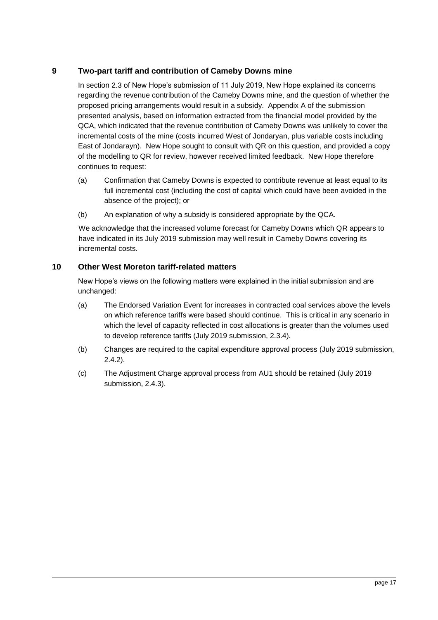## <span id="page-16-0"></span>**9 Two-part tariff and contribution of Cameby Downs mine**

In section 2.3 of New Hope's submission of 11 July 2019, New Hope explained its concerns regarding the revenue contribution of the Cameby Downs mine, and the question of whether the proposed pricing arrangements would result in a subsidy. Appendix A of the submission presented analysis, based on information extracted from the financial model provided by the QCA, which indicated that the revenue contribution of Cameby Downs was unlikely to cover the incremental costs of the mine (costs incurred West of Jondaryan, plus variable costs including East of Jondarayn). New Hope sought to consult with QR on this question, and provided a copy of the modelling to QR for review, however received limited feedback. New Hope therefore continues to request:

- (a) Confirmation that Cameby Downs is expected to contribute revenue at least equal to its full incremental cost (including the cost of capital which could have been avoided in the absence of the project); or
- (b) An explanation of why a subsidy is considered appropriate by the QCA.

We acknowledge that the increased volume forecast for Cameby Downs which QR appears to have indicated in its July 2019 submission may well result in Cameby Downs covering its incremental costs.

## <span id="page-16-1"></span>**10 Other West Moreton tariff-related matters**

New Hope's views on the following matters were explained in the initial submission and are unchanged:

- (a) The Endorsed Variation Event for increases in contracted coal services above the levels on which reference tariffs were based should continue. This is critical in any scenario in which the level of capacity reflected in cost allocations is greater than the volumes used to develop reference tariffs (July 2019 submission, 2.3.4).
- (b) Changes are required to the capital expenditure approval process (July 2019 submission, 2.4.2).
- (c) The Adjustment Charge approval process from AU1 should be retained (July 2019 submission, 2.4.3).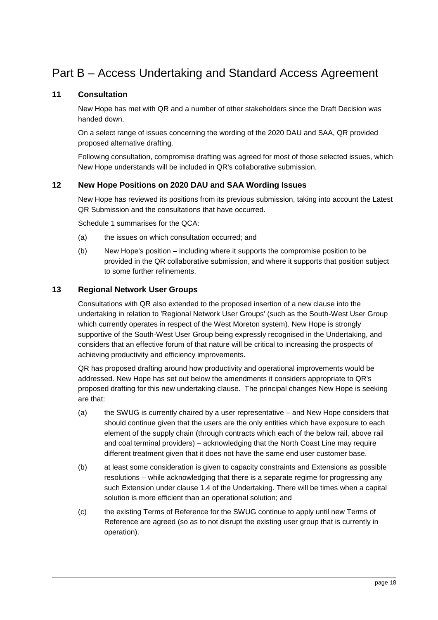# Part B – Access Undertaking and Standard Access Agreement

## <span id="page-17-0"></span>**11 Consultation**

New Hope has met with QR and a number of other stakeholders since the Draft Decision was handed down.

On a select range of issues concerning the wording of the 2020 DAU and SAA, QR provided proposed alternative drafting.

Following consultation, compromise drafting was agreed for most of those selected issues, which New Hope understands will be included in QR's collaborative submission.

## <span id="page-17-1"></span>**12 New Hope Positions on 2020 DAU and SAA Wording Issues**

New Hope has reviewed its positions from its previous submission, taking into account the Latest QR Submission and the consultations that have occurred.

Schedule 1 summarises for the OCA:

- (a) the issues on which consultation occurred; and
- (b) New Hope's position including where it supports the compromise position to be provided in the QR collaborative submission, and where it supports that position subject to some further refinements.

## **13 Regional Network User Groups**

Consultations with QR also extended to the proposed insertion of a new clause into the undertaking in relation to 'Regional Network User Groups' (such as the South-West User Group which currently operates in respect of the West Moreton system). New Hope is strongly supportive of the South-West User Group being expressly recognised in the Undertaking, and considers that an effective forum of that nature will be critical to increasing the prospects of achieving productivity and efficiency improvements.

QR has proposed drafting around how productivity and operational improvements would be addressed. New Hope has set out below the amendments it considers appropriate to QR's proposed drafting for this new undertaking clause. The principal changes New Hope is seeking are that:

- (a) the SWUG is currently chaired by a user representative and New Hope considers that should continue given that the users are the only entities which have exposure to each element of the supply chain (through contracts which each of the below rail, above rail and coal terminal providers) – acknowledging that the North Coast Line may require different treatment given that it does not have the same end user customer base.
- (b) at least some consideration is given to capacity constraints and Extensions as possible resolutions – while acknowledging that there is a separate regime for progressing any such Extension under clause 1.4 of the Undertaking. There will be times when a capital solution is more efficient than an operational solution; and
- (c) the existing Terms of Reference for the SWUG continue to apply until new Terms of Reference are agreed (so as to not disrupt the existing user group that is currently in operation).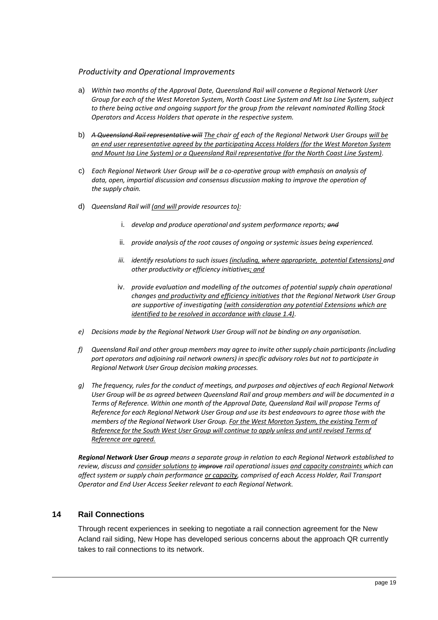## *Productivity and Operational Improvements*

- a) *Within two months of the Approval Date, Queensland Rail will convene a Regional Network User Group for each of the West Moreton System, North Coast Line System and Mt Isa Line System, subject to there being active and ongoing support for the group from the relevant nominated Rolling Stock Operators and Access Holders that operate in the respective system.*
- b) *A Queensland Rail representative will The chair of each of the Regional Network User Groups will be an end user representative agreed by the participating Access Holders (for the West Moreton System and Mount Isa Line System) or a Queensland Rail representative (for the North Coast Line System).*
- c) *Each Regional Network User Group will be a co-operative group with emphasis on analysis of data, open, impartial discussion and consensus discussion making to improve the operation of the supply chain.*
- d) *Queensland Rail will (and will provide resources to):*
	- i. *develop and produce operational and system performance reports; and*
	- ii. *provide analysis of the root causes of ongoing or systemic issues being experienced.*
	- *iii. identify resolutions to such issues (including, where appropriate, potential Extensions) and other productivity or efficiency initiatives; and*
	- iv. *provide evaluation and modelling of the outcomes of potential supply chain operational changes and productivity and efficiency initiatives that the Regional Network User Group are supportive of investigating (with consideration any potential Extensions which are identified to be resolved in accordance with clause 1.4).*
- *e) Decisions made by the Regional Network User Group will not be binding on any organisation.*
- *f) Queensland Rail and other group members may agree to invite other supply chain participants (including port operators and adjoining rail network owners) in specific advisory roles but not to participate in Regional Network User Group decision making processes.*
- *g) The frequency, rules for the conduct of meetings, and purposes and objectives of each Regional Network User Group will be as agreed between Queensland Rail and group members and will be documented in a Terms of Reference. Within one month of the Approval Date, Queensland Rail will propose Terms of Reference for each Regional Network User Group and use its best endeavours to agree those with the members of the Regional Network User Group. For the West Moreton System, the existing Term of Reference for the South West User Group will continue to apply unless and until revised Terms of Reference are agreed.*

*Regional Network User Group means a separate group in relation to each Regional Network established to review, discuss and consider solutions to improve rail operational issues and capacity constraints which can affect system or supply chain performance or capacity, comprised of each Access Holder, Rail Transport Operator and End User Access Seeker relevant to each Regional Network.*

## **14 Rail Connections**

Through recent experiences in seeking to negotiate a rail connection agreement for the New Acland rail siding, New Hope has developed serious concerns about the approach QR currently takes to rail connections to its network.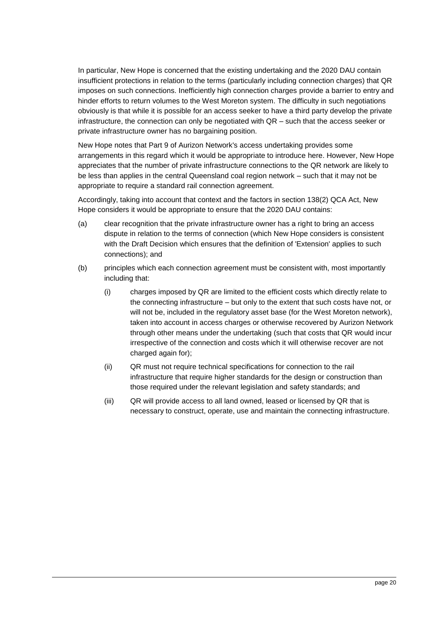In particular, New Hope is concerned that the existing undertaking and the 2020 DAU contain insufficient protections in relation to the terms (particularly including connection charges) that QR imposes on such connections. Inefficiently high connection charges provide a barrier to entry and hinder efforts to return volumes to the West Moreton system. The difficulty in such negotiations obviously is that while it is possible for an access seeker to have a third party develop the private infrastructure, the connection can only be negotiated with QR – such that the access seeker or private infrastructure owner has no bargaining position.

New Hope notes that Part 9 of Aurizon Network's access undertaking provides some arrangements in this regard which it would be appropriate to introduce here. However, New Hope appreciates that the number of private infrastructure connections to the QR network are likely to be less than applies in the central Queensland coal region network – such that it may not be appropriate to require a standard rail connection agreement.

Accordingly, taking into account that context and the factors in section 138(2) QCA Act, New Hope considers it would be appropriate to ensure that the 2020 DAU contains:

- (a) clear recognition that the private infrastructure owner has a right to bring an access dispute in relation to the terms of connection (which New Hope considers is consistent with the Draft Decision which ensures that the definition of 'Extension' applies to such connections); and
- (b) principles which each connection agreement must be consistent with, most importantly including that:
	- (i) charges imposed by QR are limited to the efficient costs which directly relate to the connecting infrastructure – but only to the extent that such costs have not, or will not be, included in the regulatory asset base (for the West Moreton network), taken into account in access charges or otherwise recovered by Aurizon Network through other means under the undertaking (such that costs that QR would incur irrespective of the connection and costs which it will otherwise recover are not charged again for);
	- (ii) QR must not require technical specifications for connection to the rail infrastructure that require higher standards for the design or construction than those required under the relevant legislation and safety standards; and
	- (iii) QR will provide access to all land owned, leased or licensed by QR that is necessary to construct, operate, use and maintain the connecting infrastructure.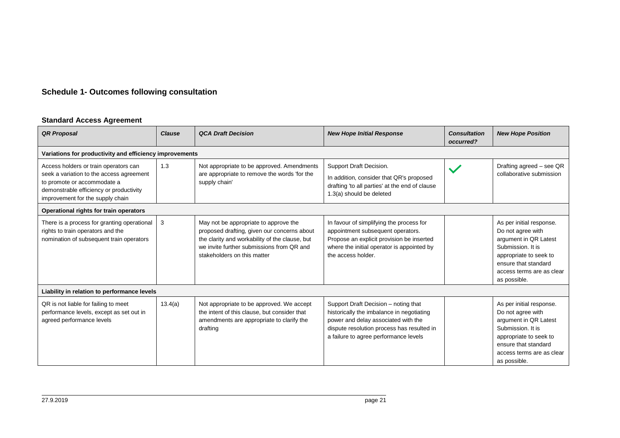## **Schedule 1- Outcomes following consultation**

#### **Standard Access Agreement**

<span id="page-20-0"></span>

| <b>QR Proposal</b>                                                                                                                                                                              | <b>Clause</b>                                           | <b>QCA Draft Decision</b>                                                                                                                                                                                          | <b>New Hope Initial Response</b>                                                                                                                                                                                | <b>Consultation</b><br>occurred? | <b>New Hope Position</b>                                                                                                                                                                   |  |  |  |
|-------------------------------------------------------------------------------------------------------------------------------------------------------------------------------------------------|---------------------------------------------------------|--------------------------------------------------------------------------------------------------------------------------------------------------------------------------------------------------------------------|-----------------------------------------------------------------------------------------------------------------------------------------------------------------------------------------------------------------|----------------------------------|--------------------------------------------------------------------------------------------------------------------------------------------------------------------------------------------|--|--|--|
|                                                                                                                                                                                                 | Variations for productivity and efficiency improvements |                                                                                                                                                                                                                    |                                                                                                                                                                                                                 |                                  |                                                                                                                                                                                            |  |  |  |
| Access holders or train operators can<br>seek a variation to the access agreement<br>to promote or accommodate a<br>demonstrable efficiency or productivity<br>improvement for the supply chain | 1.3                                                     | Not appropriate to be approved. Amendments<br>are appropriate to remove the words 'for the<br>supply chain'                                                                                                        | Support Draft Decision.<br>In addition, consider that QR's proposed<br>drafting 'to all parties' at the end of clause<br>1.3(a) should be deleted                                                               |                                  | Drafting agreed - see QR<br>collaborative submission                                                                                                                                       |  |  |  |
| Operational rights for train operators                                                                                                                                                          |                                                         |                                                                                                                                                                                                                    |                                                                                                                                                                                                                 |                                  |                                                                                                                                                                                            |  |  |  |
| There is a process for granting operational<br>rights to train operators and the<br>nomination of subsequent train operators                                                                    | 3                                                       | May not be appropriate to approve the<br>proposed drafting, given our concerns about<br>the clarity and workability of the clause, but<br>we invite further submissions from QR and<br>stakeholders on this matter | In favour of simplifying the process for<br>appointment subsequent operators.<br>Propose an explicit provision be inserted<br>where the initial operator is appointed by<br>the access holder.                  |                                  | As per initial response.<br>Do not agree with<br>argument in QR Latest<br>Submission. It is<br>appropriate to seek to<br>ensure that standard<br>access terms are as clear<br>as possible. |  |  |  |
| Liability in relation to performance levels                                                                                                                                                     |                                                         |                                                                                                                                                                                                                    |                                                                                                                                                                                                                 |                                  |                                                                                                                                                                                            |  |  |  |
| QR is not liable for failing to meet<br>performance levels, except as set out in<br>agreed performance levels                                                                                   | 13.4(a)                                                 | Not appropriate to be approved. We accept<br>the intent of this clause, but consider that<br>amendments are appropriate to clarify the<br>drafting                                                                 | Support Draft Decision - noting that<br>historically the imbalance in negotiating<br>power and delay associated with the<br>dispute resolution process has resulted in<br>a failure to agree performance levels |                                  | As per initial response.<br>Do not agree with<br>argument in QR Latest<br>Submission. It is<br>appropriate to seek to<br>ensure that standard<br>access terms are as clear<br>as possible. |  |  |  |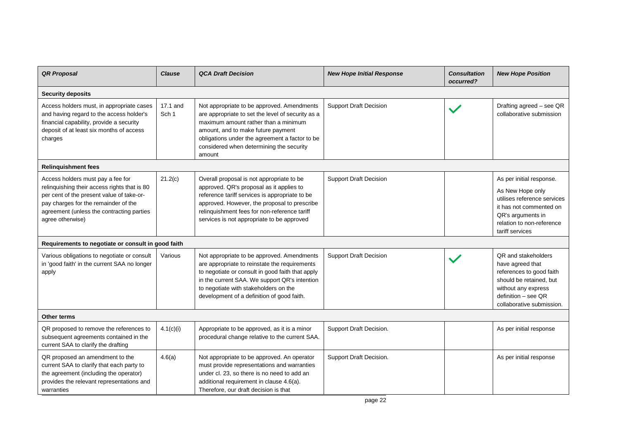| <b>QR Proposal</b>                                                                                                                                                                                                                      | <b>Clause</b>                | <b>QCA Draft Decision</b>                                                                                                                                                                                                                                                               | <b>New Hope Initial Response</b> | <b>Consultation</b><br>occurred? | <b>New Hope Position</b>                                                                                                                                                    |
|-----------------------------------------------------------------------------------------------------------------------------------------------------------------------------------------------------------------------------------------|------------------------------|-----------------------------------------------------------------------------------------------------------------------------------------------------------------------------------------------------------------------------------------------------------------------------------------|----------------------------------|----------------------------------|-----------------------------------------------------------------------------------------------------------------------------------------------------------------------------|
| <b>Security deposits</b>                                                                                                                                                                                                                |                              |                                                                                                                                                                                                                                                                                         |                                  |                                  |                                                                                                                                                                             |
| Access holders must, in appropriate cases<br>and having regard to the access holder's<br>financial capability, provide a security<br>deposit of at least six months of access<br>charges                                                | 17.1 and<br>Sch <sub>1</sub> | Not appropriate to be approved. Amendments<br>are appropriate to set the level of security as a<br>maximum amount rather than a minimum<br>amount, and to make future payment<br>obligations under the agreement a factor to be<br>considered when determining the security<br>amount   | <b>Support Draft Decision</b>    |                                  | Drafting agreed - see QR<br>collaborative submission                                                                                                                        |
| <b>Relinquishment fees</b>                                                                                                                                                                                                              |                              |                                                                                                                                                                                                                                                                                         |                                  |                                  |                                                                                                                                                                             |
| Access holders must pay a fee for<br>relinquishing their access rights that is 80<br>per cent of the present value of take-or-<br>pay charges for the remainder of the<br>agreement (unless the contracting parties<br>agree otherwise) | 21.2(c)                      | Overall proposal is not appropriate to be<br>approved. QR's proposal as it applies to<br>reference tariff services is appropriate to be<br>approved. However, the proposal to prescribe<br>relinquishment fees for non-reference tariff<br>services is not appropriate to be approved   | <b>Support Draft Decision</b>    |                                  | As per initial response.<br>As New Hope only<br>utilises reference services<br>it has not commented on<br>QR's arguments in<br>relation to non-reference<br>tariff services |
| Requirements to negotiate or consult in good faith                                                                                                                                                                                      |                              |                                                                                                                                                                                                                                                                                         |                                  |                                  |                                                                                                                                                                             |
| Various obligations to negotiate or consult<br>in 'good faith' in the current SAA no longer<br>apply                                                                                                                                    | Various                      | Not appropriate to be approved. Amendments<br>are appropriate to reinstate the requirements<br>to negotiate or consult in good faith that apply<br>in the current SAA. We support QR's intention<br>to negotiate with stakeholders on the<br>development of a definition of good faith. | <b>Support Draft Decision</b>    |                                  | QR and stakeholders<br>have agreed that<br>references to good faith<br>should be retained, but<br>without any express<br>$definition - see QR$<br>collaborative submission. |
| Other terms                                                                                                                                                                                                                             |                              |                                                                                                                                                                                                                                                                                         |                                  |                                  |                                                                                                                                                                             |
| QR proposed to remove the references to<br>subsequent agreements contained in the<br>current SAA to clarify the drafting                                                                                                                | 4.1(c)(i)                    | Appropriate to be approved, as it is a minor<br>procedural change relative to the current SAA.                                                                                                                                                                                          | Support Draft Decision.          |                                  | As per initial response                                                                                                                                                     |
| QR proposed an amendment to the<br>current SAA to clarify that each party to<br>the agreement (including the operator)<br>provides the relevant representations and<br>warranties                                                       | 4.6(a)                       | Not appropriate to be approved. An operator<br>must provide representations and warranties<br>under cl. 23, so there is no need to add an<br>additional requirement in clause 4.6(a).<br>Therefore, our draft decision is that                                                          | Support Draft Decision.          |                                  | As per initial response                                                                                                                                                     |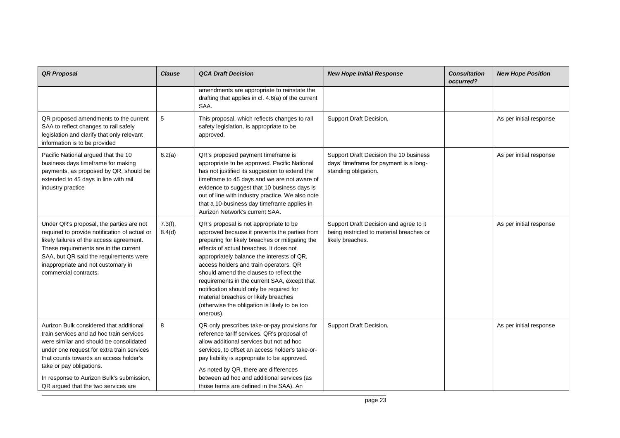| <b>QR Proposal</b>                                                                                                                                                                                                                                                                                                                     | <b>Clause</b>     | <b>QCA Draft Decision</b>                                                                                                                                                                                                                                                                                                                                                                                                                                                                                                  | <b>New Hope Initial Response</b>                                                                         | <b>Consultation</b><br>occurred? | <b>New Hope Position</b> |
|----------------------------------------------------------------------------------------------------------------------------------------------------------------------------------------------------------------------------------------------------------------------------------------------------------------------------------------|-------------------|----------------------------------------------------------------------------------------------------------------------------------------------------------------------------------------------------------------------------------------------------------------------------------------------------------------------------------------------------------------------------------------------------------------------------------------------------------------------------------------------------------------------------|----------------------------------------------------------------------------------------------------------|----------------------------------|--------------------------|
|                                                                                                                                                                                                                                                                                                                                        |                   | amendments are appropriate to reinstate the<br>drafting that applies in cl. 4.6(a) of the current<br>SAA.                                                                                                                                                                                                                                                                                                                                                                                                                  |                                                                                                          |                                  |                          |
| QR proposed amendments to the current<br>SAA to reflect changes to rail safely<br>legislation and clarify that only relevant<br>information is to be provided                                                                                                                                                                          | $\mathbf 5$       | This proposal, which reflects changes to rail<br>safety legislation, is appropriate to be<br>approved.                                                                                                                                                                                                                                                                                                                                                                                                                     | Support Draft Decision.                                                                                  |                                  | As per initial response  |
| Pacific National argued that the 10<br>business days timeframe for making<br>payments, as proposed by QR, should be<br>extended to 45 days in line with rail<br>industry practice                                                                                                                                                      | 6.2(a)            | QR's proposed payment timeframe is<br>appropriate to be approved. Pacific National<br>has not justified its suggestion to extend the<br>timeframe to 45 days and we are not aware of<br>evidence to suggest that 10 business days is<br>out of line with industry practice. We also note<br>that a 10-business day timeframe applies in<br>Aurizon Network's current SAA.                                                                                                                                                  | Support Draft Decision the 10 business<br>days' timeframe for payment is a long-<br>standing obligation. |                                  | As per initial response  |
| Under QR's proposal, the parties are not<br>required to provide notification of actual or<br>likely failures of the access agreement.<br>These requirements are in the current<br>SAA, but QR said the requirements were<br>inappropriate and not customary in<br>commercial contracts.                                                | 7.3(f),<br>8.4(d) | QR's proposal is not appropriate to be<br>approved because it prevents the parties from<br>preparing for likely breaches or mitigating the<br>effects of actual breaches. It does not<br>appropriately balance the interests of QR,<br>access holders and train operators. QR<br>should amend the clauses to reflect the<br>requirements in the current SAA, except that<br>notification should only be required for<br>material breaches or likely breaches<br>(otherwise the obligation is likely to be too<br>onerous). | Support Draft Decision and agree to it<br>being restricted to material breaches or<br>likely breaches.   |                                  | As per initial response  |
| Aurizon Bulk considered that additional<br>train services and ad hoc train services<br>were similar and should be consolidated<br>under one request for extra train services<br>that counts towards an access holder's<br>take or pay obligations.<br>In response to Aurizon Bulk's submission,<br>QR argued that the two services are | 8                 | QR only prescribes take-or-pay provisions for<br>reference tariff services. QR's proposal of<br>allow additional services but not ad hoc<br>services, to offset an access holder's take-or-<br>pay liability is appropriate to be approved.<br>As noted by QR, there are differences<br>between ad hoc and additional services (as<br>those terms are defined in the SAA). An                                                                                                                                              | Support Draft Decision.                                                                                  |                                  | As per initial response  |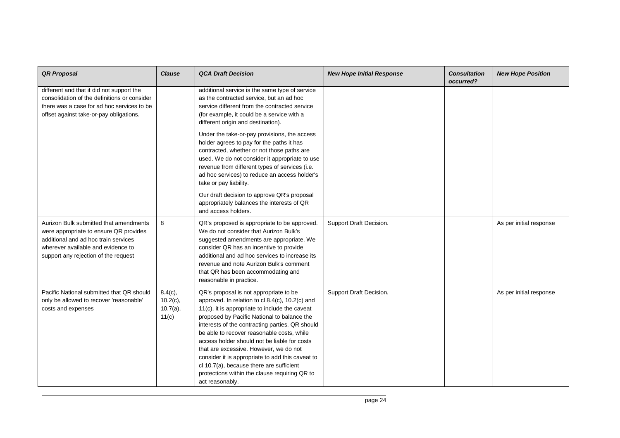| <b>QR Proposal</b>                                                                                                                                                                                     | <b>Clause</b>                                     | <b>QCA Draft Decision</b>                                                                                                                                                                                                                                                                                                                                                                                                                                                                                                                                 | <b>New Hope Initial Response</b> | <b>Consultation</b><br>occurred? | <b>New Hope Position</b> |
|--------------------------------------------------------------------------------------------------------------------------------------------------------------------------------------------------------|---------------------------------------------------|-----------------------------------------------------------------------------------------------------------------------------------------------------------------------------------------------------------------------------------------------------------------------------------------------------------------------------------------------------------------------------------------------------------------------------------------------------------------------------------------------------------------------------------------------------------|----------------------------------|----------------------------------|--------------------------|
| different and that it did not support the<br>consolidation of the definitions or consider<br>there was a case for ad hoc services to be<br>offset against take-or-pay obligations.                     |                                                   | additional service is the same type of service<br>as the contracted service, but an ad hoc<br>service different from the contracted service<br>(for example, it could be a service with a<br>different origin and destination).                                                                                                                                                                                                                                                                                                                           |                                  |                                  |                          |
|                                                                                                                                                                                                        |                                                   | Under the take-or-pay provisions, the access<br>holder agrees to pay for the paths it has<br>contracted, whether or not those paths are<br>used. We do not consider it appropriate to use<br>revenue from different types of services (i.e.<br>ad hoc services) to reduce an access holder's<br>take or pay liability.                                                                                                                                                                                                                                    |                                  |                                  |                          |
|                                                                                                                                                                                                        |                                                   | Our draft decision to approve QR's proposal<br>appropriately balances the interests of QR<br>and access holders.                                                                                                                                                                                                                                                                                                                                                                                                                                          |                                  |                                  |                          |
| Aurizon Bulk submitted that amendments<br>were appropriate to ensure QR provides<br>additional and ad hoc train services<br>wherever available and evidence to<br>support any rejection of the request | 8                                                 | QR's proposed is appropriate to be approved.<br>We do not consider that Aurizon Bulk's<br>suggested amendments are appropriate. We<br>consider QR has an incentive to provide<br>additional and ad hoc services to increase its<br>revenue and note Aurizon Bulk's comment<br>that QR has been accommodating and<br>reasonable in practice.                                                                                                                                                                                                               | Support Draft Decision.          |                                  | As per initial response  |
| Pacific National submitted that QR should<br>only be allowed to recover 'reasonable'<br>costs and expenses                                                                                             | $8.4(c)$ ,<br>$10.2(c)$ ,<br>$10.7(a)$ ,<br>11(c) | QR's proposal is not appropriate to be<br>approved. In relation to cl 8.4(c), 10.2(c) and<br>11(c), it is appropriate to include the caveat<br>proposed by Pacific National to balance the<br>interests of the contracting parties. QR should<br>be able to recover reasonable costs, while<br>access holder should not be liable for costs<br>that are excessive. However, we do not<br>consider it is appropriate to add this caveat to<br>cl 10.7(a), because there are sufficient<br>protections within the clause requiring QR to<br>act reasonably. | Support Draft Decision.          |                                  | As per initial response  |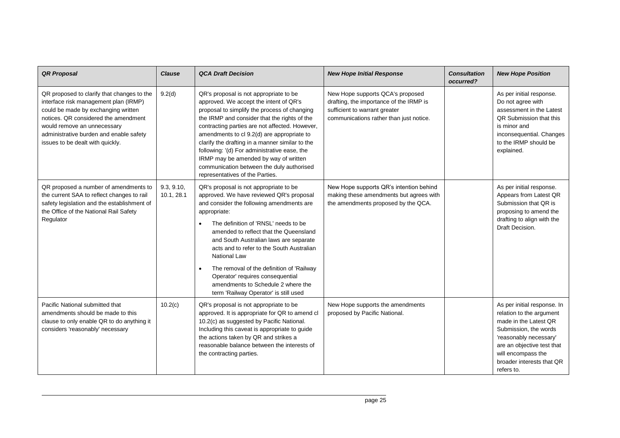| <b>QR Proposal</b>                                                                                                                                                                                                                                                               | <b>Clause</b>            | <b>QCA Draft Decision</b>                                                                                                                                                                                                                                                                                                                                                                                                                                                                                       | <b>New Hope Initial Response</b>                                                                                                                        | <b>Consultation</b><br>occurred? | <b>New Hope Position</b>                                                                                                                                                                                                           |
|----------------------------------------------------------------------------------------------------------------------------------------------------------------------------------------------------------------------------------------------------------------------------------|--------------------------|-----------------------------------------------------------------------------------------------------------------------------------------------------------------------------------------------------------------------------------------------------------------------------------------------------------------------------------------------------------------------------------------------------------------------------------------------------------------------------------------------------------------|---------------------------------------------------------------------------------------------------------------------------------------------------------|----------------------------------|------------------------------------------------------------------------------------------------------------------------------------------------------------------------------------------------------------------------------------|
| QR proposed to clarify that changes to the<br>interface risk management plan (IRMP)<br>could be made by exchanging written<br>notices. QR considered the amendment<br>would remove an unnecessary<br>administrative burden and enable safety<br>issues to be dealt with quickly. | 9.2(d)                   | QR's proposal is not appropriate to be<br>approved. We accept the intent of QR's<br>proposal to simplify the process of changing<br>the IRMP and consider that the rights of the<br>contracting parties are not affected. However,<br>amendments to cl 9.2(d) are appropriate to<br>clarify the drafting in a manner similar to the<br>following: '(d) For administrative ease, the<br>IRMP may be amended by way of written<br>communication between the duly authorised<br>representatives of the Parties.    | New Hope supports QCA's proposed<br>drafting, the importance of the IRMP is<br>sufficient to warrant greater<br>communications rather than just notice. |                                  | As per initial response.<br>Do not agree with<br>assessment in the Latest<br>QR Submission that this<br>is minor and<br>inconsequential. Changes<br>to the IRMP should be<br>explained.                                            |
| QR proposed a number of amendments to<br>the current SAA to reflect changes to rail<br>safety legislation and the establishment of<br>the Office of the National Rail Safety<br>Regulator                                                                                        | 9.3, 9.10,<br>10.1, 28.1 | QR's proposal is not appropriate to be<br>approved. We have reviewed QR's proposal<br>and consider the following amendments are<br>appropriate:<br>The definition of 'RNSL' needs to be<br>amended to reflect that the Queensland<br>and South Australian laws are separate<br>acts and to refer to the South Australian<br><b>National Law</b><br>The removal of the definition of 'Railway<br>Operator' requires consequential<br>amendments to Schedule 2 where the<br>term 'Railway Operator' is still used | New Hope supports QR's intention behind<br>making these amendments but agrees with<br>the amendments proposed by the QCA.                               |                                  | As per initial response.<br>Appears from Latest QR<br>Submission that QR is<br>proposing to amend the<br>drafting to align with the<br>Draft Decision.                                                                             |
| Pacific National submitted that<br>amendments should be made to this<br>clause to only enable QR to do anything it<br>considers 'reasonably' necessary                                                                                                                           | 10.2(c)                  | QR's proposal is not appropriate to be<br>approved. It is appropriate for QR to amend cl<br>10.2(c) as suggested by Pacific National.<br>Including this caveat is appropriate to guide<br>the actions taken by QR and strikes a<br>reasonable balance between the interests of<br>the contracting parties.                                                                                                                                                                                                      | New Hope supports the amendments<br>proposed by Pacific National.                                                                                       |                                  | As per initial response. In<br>relation to the argument<br>made in the Latest QR<br>Submission, the words<br>'reasonably necessary'<br>are an objective test that<br>will encompass the<br>broader interests that QR<br>refers to. |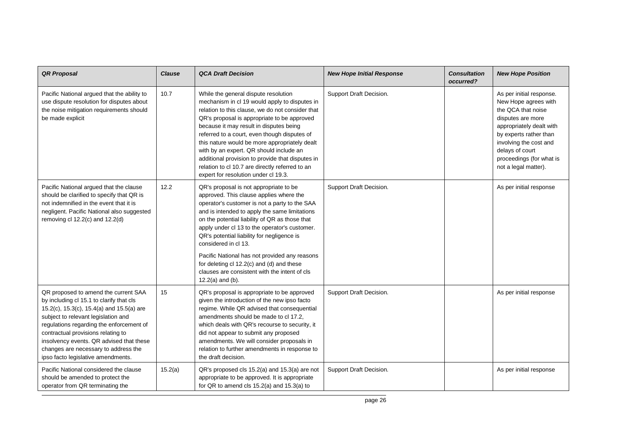| <b>QR Proposal</b>                                                                                                                                                                                                                                                                                                                                                               | <b>Clause</b> | <b>QCA Draft Decision</b>                                                                                                                                                                                                                                                                                                                                                                                                                                                                                                         | <b>New Hope Initial Response</b> | <b>Consultation</b><br>occurred? | <b>New Hope Position</b>                                                                                                                                                                                                                           |
|----------------------------------------------------------------------------------------------------------------------------------------------------------------------------------------------------------------------------------------------------------------------------------------------------------------------------------------------------------------------------------|---------------|-----------------------------------------------------------------------------------------------------------------------------------------------------------------------------------------------------------------------------------------------------------------------------------------------------------------------------------------------------------------------------------------------------------------------------------------------------------------------------------------------------------------------------------|----------------------------------|----------------------------------|----------------------------------------------------------------------------------------------------------------------------------------------------------------------------------------------------------------------------------------------------|
| Pacific National argued that the ability to<br>use dispute resolution for disputes about<br>the noise mitigation requirements should<br>be made explicit                                                                                                                                                                                                                         | 10.7          | While the general dispute resolution<br>mechanism in cl 19 would apply to disputes in<br>relation to this clause, we do not consider that<br>QR's proposal is appropriate to be approved<br>because it may result in disputes being<br>referred to a court, even though disputes of<br>this nature would be more appropriately dealt<br>with by an expert. QR should include an<br>additional provision to provide that disputes in<br>relation to cl 10.7 are directly referred to an<br>expert for resolution under cl 19.3.    | Support Draft Decision.          |                                  | As per initial response.<br>New Hope agrees with<br>the QCA that noise<br>disputes are more<br>appropriately dealt with<br>by experts rather than<br>involving the cost and<br>delays of court<br>proceedings (for what is<br>not a legal matter). |
| Pacific National argued that the clause<br>should be clarified to specify that QR is<br>not indemnified in the event that it is<br>negligent. Pacific National also suggested<br>removing cl $12.2(c)$ and $12.2(d)$                                                                                                                                                             | 12.2          | QR's proposal is not appropriate to be<br>approved. This clause applies where the<br>operator's customer is not a party to the SAA<br>and is intended to apply the same limitations<br>on the potential liability of QR as those that<br>apply under cl 13 to the operator's customer.<br>QR's potential liability for negligence is<br>considered in cl 13.<br>Pacific National has not provided any reasons<br>for deleting cl 12.2(c) and (d) and these<br>clauses are consistent with the intent of cls<br>$12.2(a)$ and (b). | Support Draft Decision.          |                                  | As per initial response                                                                                                                                                                                                                            |
| QR proposed to amend the current SAA<br>by including cl 15.1 to clarify that cls<br>15.2(c), 15.3(c), 15.4(a) and 15.5(a) are<br>subject to relevant legislation and<br>regulations regarding the enforcement of<br>contractual provisions relating to<br>insolvency events. QR advised that these<br>changes are necessary to address the<br>ipso facto legislative amendments. | 15            | QR's proposal is appropriate to be approved<br>given the introduction of the new ipso facto<br>regime. While QR advised that consequential<br>amendments should be made to cl 17.2,<br>which deals with QR's recourse to security, it<br>did not appear to submit any proposed<br>amendments. We will consider proposals in<br>relation to further amendments in response to<br>the draft decision.                                                                                                                               | Support Draft Decision.          |                                  | As per initial response                                                                                                                                                                                                                            |
| Pacific National considered the clause<br>should be amended to protect the<br>operator from QR terminating the                                                                                                                                                                                                                                                                   | 15.2(a)       | QR's proposed cls 15.2(a) and 15.3(a) are not<br>appropriate to be approved. It is appropriate<br>for QR to amend cls 15.2(a) and 15.3(a) to                                                                                                                                                                                                                                                                                                                                                                                      | Support Draft Decision.          |                                  | As per initial response                                                                                                                                                                                                                            |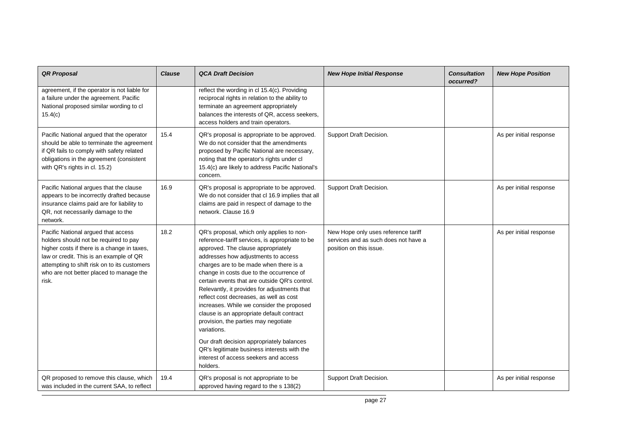| <b>QR Proposal</b>                                                                                                                                                                                                                                                         | <b>Clause</b> | <b>QCA Draft Decision</b>                                                                                                                                                                                                                                                                                                                                                                                                                                                                                                                                                                                                                                                                                     | <b>New Hope Initial Response</b>                                                                       | <b>Consultation</b><br>occurred? | <b>New Hope Position</b> |
|----------------------------------------------------------------------------------------------------------------------------------------------------------------------------------------------------------------------------------------------------------------------------|---------------|---------------------------------------------------------------------------------------------------------------------------------------------------------------------------------------------------------------------------------------------------------------------------------------------------------------------------------------------------------------------------------------------------------------------------------------------------------------------------------------------------------------------------------------------------------------------------------------------------------------------------------------------------------------------------------------------------------------|--------------------------------------------------------------------------------------------------------|----------------------------------|--------------------------|
| agreement, if the operator is not liable for<br>a failure under the agreement. Pacific<br>National proposed similar wording to cl<br>15.4(c)                                                                                                                               |               | reflect the wording in cl 15.4(c). Providing<br>reciprocal rights in relation to the ability to<br>terminate an agreement appropriately<br>balances the interests of QR, access seekers,<br>access holders and train operators.                                                                                                                                                                                                                                                                                                                                                                                                                                                                               |                                                                                                        |                                  |                          |
| Pacific National argued that the operator<br>should be able to terminate the agreement<br>if QR fails to comply with safety related<br>obligations in the agreement (consistent<br>with QR's rights in cl. 15.2)                                                           | 15.4          | QR's proposal is appropriate to be approved.<br>We do not consider that the amendments<br>proposed by Pacific National are necessary,<br>noting that the operator's rights under cl<br>15.4(c) are likely to address Pacific National's<br>concern.                                                                                                                                                                                                                                                                                                                                                                                                                                                           | Support Draft Decision.                                                                                |                                  | As per initial response  |
| Pacific National argues that the clause<br>appears to be incorrectly drafted because<br>insurance claims paid are for liability to<br>QR, not necessarily damage to the<br>network.                                                                                        | 16.9          | QR's proposal is appropriate to be approved.<br>We do not consider that cl 16.9 implies that all<br>claims are paid in respect of damage to the<br>network. Clause 16.9                                                                                                                                                                                                                                                                                                                                                                                                                                                                                                                                       | Support Draft Decision.                                                                                |                                  | As per initial response  |
| Pacific National argued that access<br>holders should not be required to pay<br>higher costs if there is a change in taxes,<br>law or credit. This is an example of QR<br>attempting to shift risk on to its customers<br>who are not better placed to manage the<br>risk. | 18.2          | QR's proposal, which only applies to non-<br>reference-tariff services, is appropriate to be<br>approved. The clause appropriately<br>addresses how adjustments to access<br>charges are to be made when there is a<br>change in costs due to the occurrence of<br>certain events that are outside QR's control.<br>Relevantly, it provides for adjustments that<br>reflect cost decreases, as well as cost<br>increases. While we consider the proposed<br>clause is an appropriate default contract<br>provision, the parties may negotiate<br>variations.<br>Our draft decision appropriately balances<br>QR's legitimate business interests with the<br>interest of access seekers and access<br>holders. | New Hope only uses reference tariff<br>services and as such does not have a<br>position on this issue. |                                  | As per initial response  |
| QR proposed to remove this clause, which<br>was included in the current SAA, to reflect                                                                                                                                                                                    | 19.4          | QR's proposal is not appropriate to be<br>approved having regard to the s 138(2)                                                                                                                                                                                                                                                                                                                                                                                                                                                                                                                                                                                                                              | Support Draft Decision.                                                                                |                                  | As per initial response  |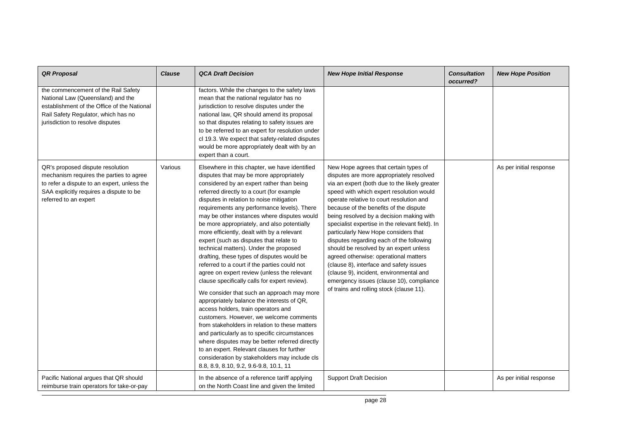| <b>QR Proposal</b>                                                                                                                                                                                 | <b>Clause</b> | <b>QCA Draft Decision</b>                                                                                                                                                                                                                                                                                                                                                                                                                                                                                                                                                                                                                                                                                                                                                                                                                                                                                                                                                                                                                                                                                                                                                                | <b>New Hope Initial Response</b>                                                                                                                                                                                                                                                                                                                                                                                                                                                                                                                                                                                                                                                                                         | <b>Consultation</b><br>occurred? | <b>New Hope Position</b> |
|----------------------------------------------------------------------------------------------------------------------------------------------------------------------------------------------------|---------------|------------------------------------------------------------------------------------------------------------------------------------------------------------------------------------------------------------------------------------------------------------------------------------------------------------------------------------------------------------------------------------------------------------------------------------------------------------------------------------------------------------------------------------------------------------------------------------------------------------------------------------------------------------------------------------------------------------------------------------------------------------------------------------------------------------------------------------------------------------------------------------------------------------------------------------------------------------------------------------------------------------------------------------------------------------------------------------------------------------------------------------------------------------------------------------------|--------------------------------------------------------------------------------------------------------------------------------------------------------------------------------------------------------------------------------------------------------------------------------------------------------------------------------------------------------------------------------------------------------------------------------------------------------------------------------------------------------------------------------------------------------------------------------------------------------------------------------------------------------------------------------------------------------------------------|----------------------------------|--------------------------|
| the commencement of the Rail Safety<br>National Law (Queensland) and the<br>establishment of the Office of the National<br>Rail Safety Regulator, which has no<br>jurisdiction to resolve disputes |               | factors. While the changes to the safety laws<br>mean that the national regulator has no<br>jurisdiction to resolve disputes under the<br>national law, QR should amend its proposal<br>so that disputes relating to safety issues are<br>to be referred to an expert for resolution under<br>cl 19.3. We expect that safety-related disputes<br>would be more appropriately dealt with by an<br>expert than a court.                                                                                                                                                                                                                                                                                                                                                                                                                                                                                                                                                                                                                                                                                                                                                                    |                                                                                                                                                                                                                                                                                                                                                                                                                                                                                                                                                                                                                                                                                                                          |                                  |                          |
| QR's proposed dispute resolution<br>mechanism requires the parties to agree<br>to refer a dispute to an expert, unless the<br>SAA explicitly requires a dispute to be<br>referred to an expert     | Various       | Elsewhere in this chapter, we have identified<br>disputes that may be more appropriately<br>considered by an expert rather than being<br>referred directly to a court (for example<br>disputes in relation to noise mitigation<br>requirements any performance levels). There<br>may be other instances where disputes would<br>be more appropriately, and also potentially<br>more efficiently, dealt with by a relevant<br>expert (such as disputes that relate to<br>technical matters). Under the proposed<br>drafting, these types of disputes would be<br>referred to a court if the parties could not<br>agree on expert review (unless the relevant<br>clause specifically calls for expert review).<br>We consider that such an approach may more<br>appropriately balance the interests of QR,<br>access holders, train operators and<br>customers. However, we welcome comments<br>from stakeholders in relation to these matters<br>and particularly as to specific circumstances<br>where disputes may be better referred directly<br>to an expert. Relevant clauses for further<br>consideration by stakeholders may include cls<br>8.8, 8.9, 8.10, 9.2, 9.6-9.8, 10.1, 11 | New Hope agrees that certain types of<br>disputes are more appropriately resolved<br>via an expert (both due to the likely greater<br>speed with which expert resolution would<br>operate relative to court resolution and<br>because of the benefits of the dispute<br>being resolved by a decision making with<br>specialist expertise in the relevant field). In<br>particularly New Hope considers that<br>disputes regarding each of the following<br>should be resolved by an expert unless<br>agreed otherwise: operational matters<br>(clause 8), interface and safety issues<br>(clause 9), incident, environmental and<br>emergency issues (clause 10), compliance<br>of trains and rolling stock (clause 11). |                                  | As per initial response  |
| Pacific National argues that QR should<br>reimburse train operators for take-or-pay                                                                                                                |               | In the absence of a reference tariff applying<br>on the North Coast line and given the limited                                                                                                                                                                                                                                                                                                                                                                                                                                                                                                                                                                                                                                                                                                                                                                                                                                                                                                                                                                                                                                                                                           | <b>Support Draft Decision</b>                                                                                                                                                                                                                                                                                                                                                                                                                                                                                                                                                                                                                                                                                            |                                  | As per initial response  |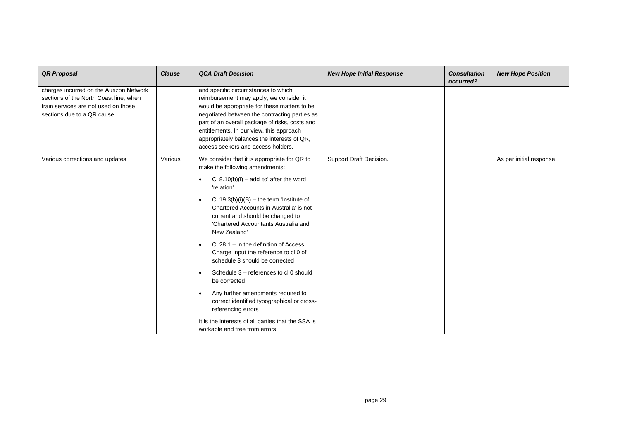| <b>QR Proposal</b>                                                                                                                                      | <b>Clause</b> | <b>QCA Draft Decision</b>                                                                                                                                                                                                                                                                                                                                          | <b>New Hope Initial Response</b> | <b>Consultation</b><br>occurred? | <b>New Hope Position</b> |
|---------------------------------------------------------------------------------------------------------------------------------------------------------|---------------|--------------------------------------------------------------------------------------------------------------------------------------------------------------------------------------------------------------------------------------------------------------------------------------------------------------------------------------------------------------------|----------------------------------|----------------------------------|--------------------------|
| charges incurred on the Aurizon Network<br>sections of the North Coast line, when<br>train services are not used on those<br>sections due to a QR cause |               | and specific circumstances to which<br>reimbursement may apply, we consider it<br>would be appropriate for these matters to be<br>negotiated between the contracting parties as<br>part of an overall package of risks, costs and<br>entitlements. In our view, this approach<br>appropriately balances the interests of QR,<br>access seekers and access holders. |                                  |                                  |                          |
| Various corrections and updates                                                                                                                         | Various       | We consider that it is appropriate for QR to<br>make the following amendments:                                                                                                                                                                                                                                                                                     | Support Draft Decision.          |                                  | As per initial response  |
|                                                                                                                                                         |               | Cl $8.10(b)(i)$ – add 'to' after the word<br>$\bullet$<br>'relation'                                                                                                                                                                                                                                                                                               |                                  |                                  |                          |
|                                                                                                                                                         |               | Cl $19.3(b)(i)(B) -$ the term 'Institute of<br>Chartered Accounts in Australia' is not<br>current and should be changed to<br>'Chartered Accountants Australia and<br>New Zealand'                                                                                                                                                                                 |                                  |                                  |                          |
|                                                                                                                                                         |               | $Cl$ 28.1 – in the definition of Access<br>Charge Input the reference to cl 0 of<br>schedule 3 should be corrected                                                                                                                                                                                                                                                 |                                  |                                  |                          |
|                                                                                                                                                         |               | Schedule 3 - references to cl 0 should<br>be corrected                                                                                                                                                                                                                                                                                                             |                                  |                                  |                          |
|                                                                                                                                                         |               | Any further amendments required to<br>correct identified typographical or cross-<br>referencing errors                                                                                                                                                                                                                                                             |                                  |                                  |                          |
|                                                                                                                                                         |               | It is the interests of all parties that the SSA is<br>workable and free from errors                                                                                                                                                                                                                                                                                |                                  |                                  |                          |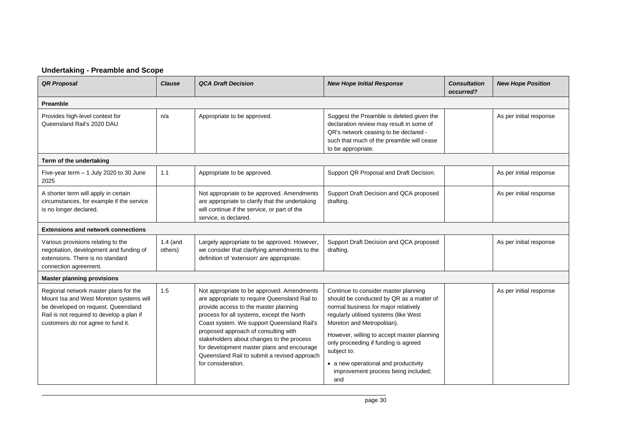## **Undertaking - Preamble and Scope**

| <b>QR Proposal</b>                                                                                                                                                                                         | <b>Clause</b>         | <b>QCA Draft Decision</b>                                                                                                                                                                                                                                                                                                                                                                                                                | <b>New Hope Initial Response</b>                                                                                                                                                                                                                                                                                                                                                           | <b>Consultation</b><br>occurred? | <b>New Hope Position</b> |  |  |  |
|------------------------------------------------------------------------------------------------------------------------------------------------------------------------------------------------------------|-----------------------|------------------------------------------------------------------------------------------------------------------------------------------------------------------------------------------------------------------------------------------------------------------------------------------------------------------------------------------------------------------------------------------------------------------------------------------|--------------------------------------------------------------------------------------------------------------------------------------------------------------------------------------------------------------------------------------------------------------------------------------------------------------------------------------------------------------------------------------------|----------------------------------|--------------------------|--|--|--|
| Preamble                                                                                                                                                                                                   |                       |                                                                                                                                                                                                                                                                                                                                                                                                                                          |                                                                                                                                                                                                                                                                                                                                                                                            |                                  |                          |  |  |  |
| Provides high-level context for<br>Queensland Rail's 2020 DAU                                                                                                                                              | n/a                   | Appropriate to be approved.                                                                                                                                                                                                                                                                                                                                                                                                              | Suggest the Preamble is deleted given the<br>declaration review may result in some of<br>QR's network ceasing to be declared -<br>such that much of the preamble will cease<br>to be appropriate.                                                                                                                                                                                          |                                  | As per initial response  |  |  |  |
| Term of the undertaking                                                                                                                                                                                    |                       |                                                                                                                                                                                                                                                                                                                                                                                                                                          |                                                                                                                                                                                                                                                                                                                                                                                            |                                  |                          |  |  |  |
| Five-year term $-1$ July 2020 to 30 June<br>2025                                                                                                                                                           | 1.1                   | Appropriate to be approved.                                                                                                                                                                                                                                                                                                                                                                                                              | Support QR Proposal and Draft Decision.                                                                                                                                                                                                                                                                                                                                                    |                                  | As per initial response  |  |  |  |
| A shorter term will apply in certain<br>circumstances, for example if the service<br>is no longer declared.                                                                                                |                       | Not appropriate to be approved. Amendments<br>are appropriate to clarify that the undertaking<br>will continue if the service, or part of the<br>service, is declared.                                                                                                                                                                                                                                                                   | Support Draft Decision and QCA proposed<br>drafting.                                                                                                                                                                                                                                                                                                                                       |                                  | As per initial response  |  |  |  |
| <b>Extensions and network connections</b>                                                                                                                                                                  |                       |                                                                                                                                                                                                                                                                                                                                                                                                                                          |                                                                                                                                                                                                                                                                                                                                                                                            |                                  |                          |  |  |  |
| Various provisions relating to the<br>negotiation, development and funding of<br>extensions. There is no standard<br>connection agreement.                                                                 | $1.4$ (and<br>others) | Largely appropriate to be approved. However,<br>we consider that clarifying amendments to the<br>definition of 'extension' are appropriate.                                                                                                                                                                                                                                                                                              | Support Draft Decision and QCA proposed<br>drafting.                                                                                                                                                                                                                                                                                                                                       |                                  | As per initial response  |  |  |  |
| <b>Master planning provisions</b>                                                                                                                                                                          |                       |                                                                                                                                                                                                                                                                                                                                                                                                                                          |                                                                                                                                                                                                                                                                                                                                                                                            |                                  |                          |  |  |  |
| Regional network master plans for the<br>Mount Isa and West Moreton systems will<br>be developed on request. Queensland<br>Rail is not required to develop a plan if<br>customers do not agree to fund it. | 1.5                   | Not appropriate to be approved. Amendments<br>are appropriate to require Queensland Rail to<br>provide access to the master planning<br>process for all systems, except the North<br>Coast system. We support Queensland Rail's<br>proposed approach of consulting with<br>stakeholders about changes to the process<br>for development master plans and encourage<br>Queensland Rail to submit a revised approach<br>for consideration. | Continue to consider master planning<br>should be conducted by QR as a matter of<br>normal business for major relatively<br>regularly utilised systems (like West<br>Moreton and Metropolitan).<br>However, willing to accept master planning<br>only proceeding if funding is agreed<br>subject to:<br>• a new operational and productivity<br>improvement process being included;<br>and |                                  | As per initial response  |  |  |  |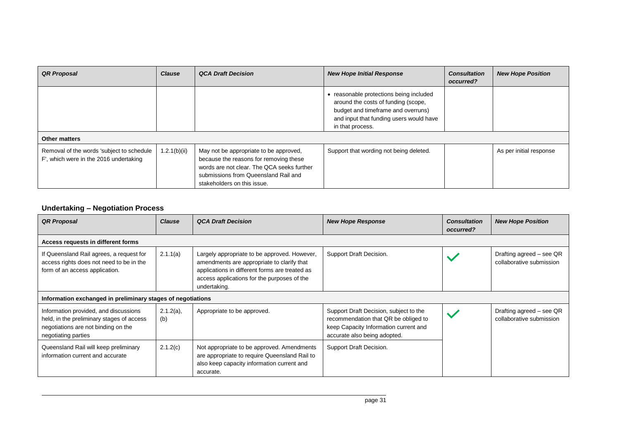| <b>QR Proposal</b>                                                                  | <b>Clause</b> | <b>QCA Draft Decision</b>                                                                                                                                                                             | <b>New Hope Initial Response</b>                                                                                                                                                    | <b>Consultation</b><br>occurred? | <b>New Hope Position</b> |
|-------------------------------------------------------------------------------------|---------------|-------------------------------------------------------------------------------------------------------------------------------------------------------------------------------------------------------|-------------------------------------------------------------------------------------------------------------------------------------------------------------------------------------|----------------------------------|--------------------------|
|                                                                                     |               |                                                                                                                                                                                                       | • reasonable protections being included<br>around the costs of funding (scope,<br>budget and timeframe and overruns)<br>and input that funding users would have<br>in that process. |                                  |                          |
| <b>Other matters</b>                                                                |               |                                                                                                                                                                                                       |                                                                                                                                                                                     |                                  |                          |
| Removal of the words 'subject to schedule<br>F', which were in the 2016 undertaking | 1.2.1(b)(ii)  | May not be appropriate to be approved,<br>because the reasons for removing these<br>words are not clear. The QCA seeks further<br>submissions from Queensland Rail and<br>stakeholders on this issue. | Support that wording not being deleted.                                                                                                                                             |                                  | As per initial response  |

## **Undertaking – Negotiation Process**

| <b>QR Proposal</b>                                                                                                                               | <b>Clause</b>       | <b>QCA Draft Decision</b>                                                                                                                                                                                   | <b>New Hope Response</b>                                                                                                                                | <b>Consultation</b><br>occurred? | <b>New Hope Position</b>                             |
|--------------------------------------------------------------------------------------------------------------------------------------------------|---------------------|-------------------------------------------------------------------------------------------------------------------------------------------------------------------------------------------------------------|---------------------------------------------------------------------------------------------------------------------------------------------------------|----------------------------------|------------------------------------------------------|
| Access requests in different forms                                                                                                               |                     |                                                                                                                                                                                                             |                                                                                                                                                         |                                  |                                                      |
| If Queensland Rail agrees, a request for<br>access rights does not need to be in the<br>form of an access application.                           | 2.1.1(a)            | Largely appropriate to be approved. However,<br>amendments are appropriate to clarify that<br>applications in different forms are treated as<br>access applications for the purposes of the<br>undertaking. | Support Draft Decision.                                                                                                                                 |                                  | Drafting agreed - see QR<br>collaborative submission |
| Information exchanged in preliminary stages of negotiations                                                                                      |                     |                                                                                                                                                                                                             |                                                                                                                                                         |                                  |                                                      |
| Information provided, and discussions<br>held, in the preliminary stages of access<br>negotiations are not binding on the<br>negotiating parties | $2.1.2(a)$ ,<br>(b) | Appropriate to be approved.                                                                                                                                                                                 | Support Draft Decision, subject to the<br>recommendation that QR be obliged to<br>keep Capacity Information current and<br>accurate also being adopted. |                                  | Drafting agreed – see QR<br>collaborative submission |
| Queensland Rail will keep preliminary<br>information current and accurate                                                                        | 2.1.2(c)            | Not appropriate to be approved. Amendments<br>are appropriate to require Queensland Rail to<br>also keep capacity information current and<br>accurate.                                                      | Support Draft Decision.                                                                                                                                 |                                  |                                                      |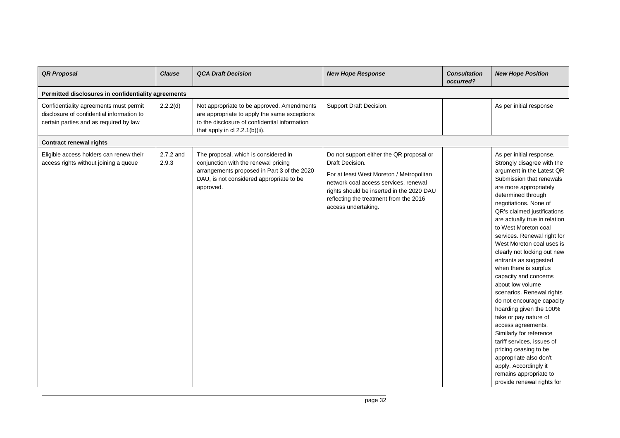| <b>QR Proposal</b>                                                                                                            | <b>Clause</b>      | <b>QCA Draft Decision</b>                                                                                                                                                            | <b>New Hope Response</b>                                                                                                                                                                                                                                       | <b>Consultation</b><br>occurred? | <b>New Hope Position</b>                                                                                                                                                                                                                                                                                                                                                                                                                                                                                                                                                                                                                                                                                                                                                                                    |
|-------------------------------------------------------------------------------------------------------------------------------|--------------------|--------------------------------------------------------------------------------------------------------------------------------------------------------------------------------------|----------------------------------------------------------------------------------------------------------------------------------------------------------------------------------------------------------------------------------------------------------------|----------------------------------|-------------------------------------------------------------------------------------------------------------------------------------------------------------------------------------------------------------------------------------------------------------------------------------------------------------------------------------------------------------------------------------------------------------------------------------------------------------------------------------------------------------------------------------------------------------------------------------------------------------------------------------------------------------------------------------------------------------------------------------------------------------------------------------------------------------|
| Permitted disclosures in confidentiality agreements                                                                           |                    |                                                                                                                                                                                      |                                                                                                                                                                                                                                                                |                                  |                                                                                                                                                                                                                                                                                                                                                                                                                                                                                                                                                                                                                                                                                                                                                                                                             |
| Confidentiality agreements must permit<br>disclosure of confidential information to<br>certain parties and as required by law | 2.2.2(d)           | Not appropriate to be approved. Amendments<br>are appropriate to apply the same exceptions<br>to the disclosure of confidential information<br>that apply in $cl$ 2.2.1(b)(ii).      | Support Draft Decision.                                                                                                                                                                                                                                        |                                  | As per initial response                                                                                                                                                                                                                                                                                                                                                                                                                                                                                                                                                                                                                                                                                                                                                                                     |
| <b>Contract renewal rights</b>                                                                                                |                    |                                                                                                                                                                                      |                                                                                                                                                                                                                                                                |                                  |                                                                                                                                                                                                                                                                                                                                                                                                                                                                                                                                                                                                                                                                                                                                                                                                             |
| Eligible access holders can renew their<br>access rights without joining a queue                                              | 2.7.2 and<br>2.9.3 | The proposal, which is considered in<br>conjunction with the renewal pricing<br>arrangements proposed in Part 3 of the 2020<br>DAU, is not considered appropriate to be<br>approved. | Do not support either the QR proposal or<br>Draft Decision.<br>For at least West Moreton / Metropolitan<br>network coal access services, renewal<br>rights should be inserted in the 2020 DAU<br>reflecting the treatment from the 2016<br>access undertaking. |                                  | As per initial response.<br>Strongly disagree with the<br>argument in the Latest QR<br>Submission that renewals<br>are more appropriately<br>determined through<br>negotiations. None of<br>QR's claimed justifications<br>are actually true in relation<br>to West Moreton coal<br>services. Renewal right for<br>West Moreton coal uses is<br>clearly not locking out new<br>entrants as suggested<br>when there is surplus<br>capacity and concerns<br>about low volume<br>scenarios. Renewal rights<br>do not encourage capacity<br>hoarding given the 100%<br>take or pay nature of<br>access agreements.<br>Similarly for reference<br>tariff services, issues of<br>pricing ceasing to be<br>appropriate also don't<br>apply. Accordingly it<br>remains appropriate to<br>provide renewal rights for |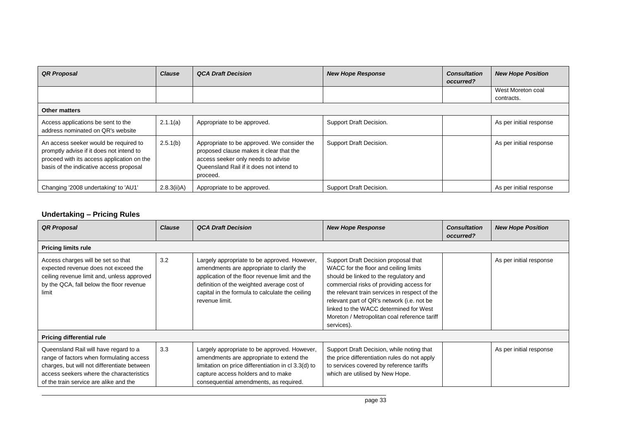| <b>QR Proposal</b>                                                                                                                                                         | <b>Clause</b>  | <b>QCA Draft Decision</b>                                                                                                                                                            | <b>New Hope Response</b> | <b>Consultation</b><br>occurred? | <b>New Hope Position</b>        |
|----------------------------------------------------------------------------------------------------------------------------------------------------------------------------|----------------|--------------------------------------------------------------------------------------------------------------------------------------------------------------------------------------|--------------------------|----------------------------------|---------------------------------|
|                                                                                                                                                                            |                |                                                                                                                                                                                      |                          |                                  | West Moreton coal<br>contracts. |
| Other matters                                                                                                                                                              |                |                                                                                                                                                                                      |                          |                                  |                                 |
| Access applications be sent to the<br>address nominated on QR's website                                                                                                    | 2.1.1(a)       | Appropriate to be approved.                                                                                                                                                          | Support Draft Decision.  |                                  | As per initial response         |
| An access seeker would be required to<br>promptly advise if it does not intend to<br>proceed with its access application on the<br>basis of the indicative access proposal | 2.5.1(b)       | Appropriate to be approved. We consider the<br>proposed clause makes it clear that the<br>access seeker only needs to advise<br>Queensland Rail if it does not intend to<br>proceed. | Support Draft Decision.  |                                  | As per initial response         |
| Changing '2008 undertaking' to 'AU1'                                                                                                                                       | $2.8.3(ii)$ A) | Appropriate to be approved.                                                                                                                                                          | Support Draft Decision.  |                                  | As per initial response         |

## **Undertaking – Pricing Rules**

| <b>QR Proposal</b>                                                                                                                                                                                                     | <b>Clause</b> | <b>QCA Draft Decision</b>                                                                                                                                                                                                                                      | <b>New Hope Response</b>                                                                                                                                                                                                                                                                                                                                                   | <b>Consultation</b><br>occurred? | <b>New Hope Position</b> |
|------------------------------------------------------------------------------------------------------------------------------------------------------------------------------------------------------------------------|---------------|----------------------------------------------------------------------------------------------------------------------------------------------------------------------------------------------------------------------------------------------------------------|----------------------------------------------------------------------------------------------------------------------------------------------------------------------------------------------------------------------------------------------------------------------------------------------------------------------------------------------------------------------------|----------------------------------|--------------------------|
| <b>Pricing limits rule</b>                                                                                                                                                                                             |               |                                                                                                                                                                                                                                                                |                                                                                                                                                                                                                                                                                                                                                                            |                                  |                          |
| Access charges will be set so that<br>expected revenue does not exceed the<br>ceiling revenue limit and, unless approved<br>by the QCA, fall below the floor revenue<br>limit                                          | 3.2           | Largely appropriate to be approved. However,<br>amendments are appropriate to clarify the<br>application of the floor revenue limit and the<br>definition of the weighted average cost of<br>capital in the formula to calculate the ceiling<br>revenue limit. | Support Draft Decision proposal that<br>WACC for the floor and ceiling limits<br>should be linked to the regulatory and<br>commercial risks of providing access for<br>the relevant train services in respect of the<br>relevant part of QR's network (i.e. not be<br>linked to the WACC determined for West<br>Moreton / Metropolitan coal reference tariff<br>services). |                                  | As per initial response  |
| <b>Pricing differential rule</b>                                                                                                                                                                                       |               |                                                                                                                                                                                                                                                                |                                                                                                                                                                                                                                                                                                                                                                            |                                  |                          |
| Queensland Rail will have regard to a<br>range of factors when formulating access<br>charges, but will not differentiate between<br>access seekers where the characteristics<br>of the train service are alike and the | 3.3           | Largely appropriate to be approved. However,<br>amendments are appropriate to extend the<br>limitation on price differentiation in cl 3.3(d) to<br>capture access holders and to make<br>consequential amendments, as required.                                | Support Draft Decision, while noting that<br>the price differentiation rules do not apply<br>to services covered by reference tariffs<br>which are utilised by New Hope.                                                                                                                                                                                                   |                                  | As per initial response  |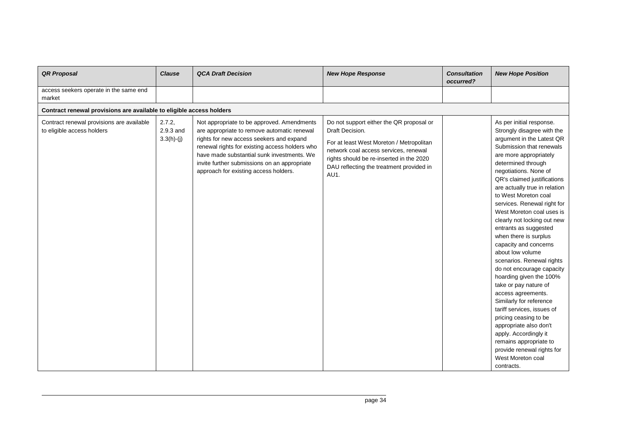| <b>QR Proposal</b>                                                      | <b>Clause</b>                       | <b>QCA Draft Decision</b>                                                                                                                                                                                                                                                                                                      | <b>New Hope Response</b>                                                                                                                                                                                                                         | <b>Consultation</b><br>occurred? | <b>New Hope Position</b>                                                                                                                                                                                                                                                                                                                                                                                                                                                                                                                                                                                                                                                                                                                                                                                                                       |
|-------------------------------------------------------------------------|-------------------------------------|--------------------------------------------------------------------------------------------------------------------------------------------------------------------------------------------------------------------------------------------------------------------------------------------------------------------------------|--------------------------------------------------------------------------------------------------------------------------------------------------------------------------------------------------------------------------------------------------|----------------------------------|------------------------------------------------------------------------------------------------------------------------------------------------------------------------------------------------------------------------------------------------------------------------------------------------------------------------------------------------------------------------------------------------------------------------------------------------------------------------------------------------------------------------------------------------------------------------------------------------------------------------------------------------------------------------------------------------------------------------------------------------------------------------------------------------------------------------------------------------|
| access seekers operate in the same end<br>market                        |                                     |                                                                                                                                                                                                                                                                                                                                |                                                                                                                                                                                                                                                  |                                  |                                                                                                                                                                                                                                                                                                                                                                                                                                                                                                                                                                                                                                                                                                                                                                                                                                                |
| Contract renewal provisions are available to eligible access holders    |                                     |                                                                                                                                                                                                                                                                                                                                |                                                                                                                                                                                                                                                  |                                  |                                                                                                                                                                                                                                                                                                                                                                                                                                                                                                                                                                                                                                                                                                                                                                                                                                                |
| Contract renewal provisions are available<br>to eligible access holders | 2.7.2,<br>2.9.3 and<br>$3.3(h)-(j)$ | Not appropriate to be approved. Amendments<br>are appropriate to remove automatic renewal<br>rights for new access seekers and expand<br>renewal rights for existing access holders who<br>have made substantial sunk investments. We<br>invite further submissions on an appropriate<br>approach for existing access holders. | Do not support either the QR proposal or<br>Draft Decision.<br>For at least West Moreton / Metropolitan<br>network coal access services, renewal<br>rights should be re-inserted in the 2020<br>DAU reflecting the treatment provided in<br>AU1. |                                  | As per initial response.<br>Strongly disagree with the<br>argument in the Latest QR<br>Submission that renewals<br>are more appropriately<br>determined through<br>negotiations. None of<br>QR's claimed justifications<br>are actually true in relation<br>to West Moreton coal<br>services. Renewal right for<br>West Moreton coal uses is<br>clearly not locking out new<br>entrants as suggested<br>when there is surplus<br>capacity and concerns<br>about low volume<br>scenarios. Renewal rights<br>do not encourage capacity<br>hoarding given the 100%<br>take or pay nature of<br>access agreements.<br>Similarly for reference<br>tariff services, issues of<br>pricing ceasing to be<br>appropriate also don't<br>apply. Accordingly it<br>remains appropriate to<br>provide renewal rights for<br>West Moreton coal<br>contracts. |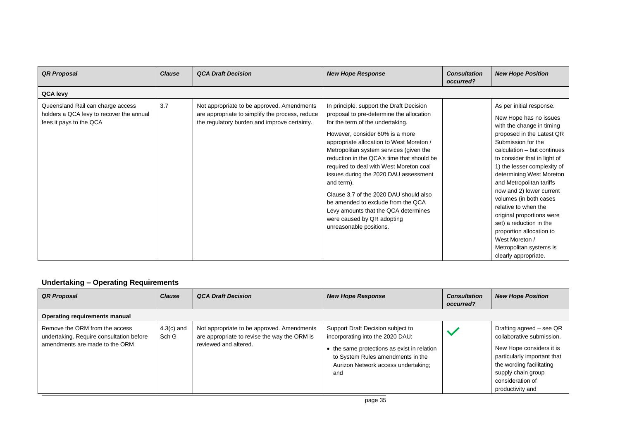| <b>QR Proposal</b>                                                                                       | <b>Clause</b> | <b>QCA Draft Decision</b>                                                                                                                     | <b>New Hope Response</b>                                                                                                                                                                                                                                                                                                                                                                                                                                                                                                                                                            | <b>Consultation</b><br>occurred? | <b>New Hope Position</b>                                                                                                                                                                                                                                                                                                                                                                                                                                                                                                        |
|----------------------------------------------------------------------------------------------------------|---------------|-----------------------------------------------------------------------------------------------------------------------------------------------|-------------------------------------------------------------------------------------------------------------------------------------------------------------------------------------------------------------------------------------------------------------------------------------------------------------------------------------------------------------------------------------------------------------------------------------------------------------------------------------------------------------------------------------------------------------------------------------|----------------------------------|---------------------------------------------------------------------------------------------------------------------------------------------------------------------------------------------------------------------------------------------------------------------------------------------------------------------------------------------------------------------------------------------------------------------------------------------------------------------------------------------------------------------------------|
| QCA levy                                                                                                 |               |                                                                                                                                               |                                                                                                                                                                                                                                                                                                                                                                                                                                                                                                                                                                                     |                                  |                                                                                                                                                                                                                                                                                                                                                                                                                                                                                                                                 |
| Queensland Rail can charge access<br>holders a QCA levy to recover the annual<br>fees it pays to the QCA | 3.7           | Not appropriate to be approved. Amendments<br>are appropriate to simplify the process, reduce<br>the regulatory burden and improve certainty. | In principle, support the Draft Decision<br>proposal to pre-determine the allocation<br>for the term of the undertaking.<br>However, consider 60% is a more<br>appropriate allocation to West Moreton /<br>Metropolitan system services (given the<br>reduction in the QCA's time that should be<br>required to deal with West Moreton coal<br>issues during the 2020 DAU assessment<br>and term).<br>Clause 3.7 of the 2020 DAU should also<br>be amended to exclude from the QCA<br>Levy amounts that the QCA determines<br>were caused by QR adopting<br>unreasonable positions. |                                  | As per initial response.<br>New Hope has no issues<br>with the change in timing<br>proposed in the Latest QR<br>Submission for the<br>calculation - but continues<br>to consider that in light of<br>1) the lesser complexity of<br>determining West Moreton<br>and Metropolitan tariffs<br>now and 2) lower current<br>volumes (in both cases<br>relative to when the<br>original proportions were<br>set) a reduction in the<br>proportion allocation to<br>West Moreton /<br>Metropolitan systems is<br>clearly appropriate. |

## **Undertaking – Operating Requirements**

| <b>QR Proposal</b>                                                                                           | <b>Clause</b>         | <b>QCA Draft Decision</b>                                                                                           | <b>New Hope Response</b>                                                                                                                                                                                | <b>Consultation</b><br>occurred? | <b>New Hope Position</b>                                                                                                                                                                                   |  |  |  |  |
|--------------------------------------------------------------------------------------------------------------|-----------------------|---------------------------------------------------------------------------------------------------------------------|---------------------------------------------------------------------------------------------------------------------------------------------------------------------------------------------------------|----------------------------------|------------------------------------------------------------------------------------------------------------------------------------------------------------------------------------------------------------|--|--|--|--|
| Operating requirements manual                                                                                |                       |                                                                                                                     |                                                                                                                                                                                                         |                                  |                                                                                                                                                                                                            |  |  |  |  |
| Remove the ORM from the access<br>undertaking. Require consultation before<br>amendments are made to the ORM | $4.3(c)$ and<br>Sch G | Not appropriate to be approved. Amendments<br>are appropriate to revise the way the ORM is<br>reviewed and altered. | Support Draft Decision subject to<br>incorporating into the 2020 DAU:<br>• the same protections as exist in relation<br>to System Rules amendments in the<br>Aurizon Network access undertaking;<br>and |                                  | Drafting agreed - see QR<br>collaborative submission.<br>New Hope considers it is<br>particularly important that<br>the wording facilitating<br>supply chain group<br>consideration of<br>productivity and |  |  |  |  |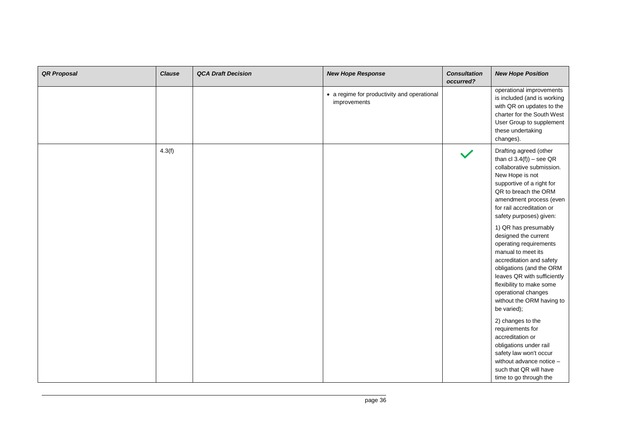| <b>QR Proposal</b> | <b>Clause</b> | <b>QCA Draft Decision</b> | <b>New Hope Response</b>                                    | <b>Consultation</b><br>occurred? | <b>New Hope Position</b>                                                                                                                                                                                                                                                                                                                                                                                                                                                                                                                                                                                                                                                                                                             |
|--------------------|---------------|---------------------------|-------------------------------------------------------------|----------------------------------|--------------------------------------------------------------------------------------------------------------------------------------------------------------------------------------------------------------------------------------------------------------------------------------------------------------------------------------------------------------------------------------------------------------------------------------------------------------------------------------------------------------------------------------------------------------------------------------------------------------------------------------------------------------------------------------------------------------------------------------|
|                    |               |                           | • a regime for productivity and operational<br>improvements |                                  | operational improvements<br>is included (and is working<br>with QR on updates to the<br>charter for the South West<br>User Group to supplement<br>these undertaking<br>changes).                                                                                                                                                                                                                                                                                                                                                                                                                                                                                                                                                     |
|                    | 4.3(f)        |                           |                                                             |                                  | Drafting agreed (other<br>than $cl 3.4(f)$ ) – see QR<br>collaborative submission.<br>New Hope is not<br>supportive of a right for<br>QR to breach the ORM<br>amendment process (even<br>for rail accreditation or<br>safety purposes) given:<br>1) QR has presumably<br>designed the current<br>operating requirements<br>manual to meet its<br>accreditation and safety<br>obligations (and the ORM<br>leaves QR with sufficiently<br>flexibility to make some<br>operational changes<br>without the ORM having to<br>be varied);<br>2) changes to the<br>requirements for<br>accreditation or<br>obligations under rail<br>safety law won't occur<br>without advance notice -<br>such that QR will have<br>time to go through the |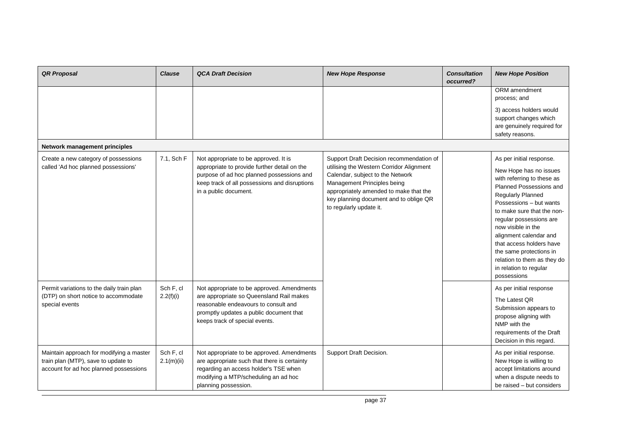| <b>QR Proposal</b>                                                                                                        | <b>Clause</b>           | <b>QCA Draft Decision</b>                                                                                                                                                                                    | <b>New Hope Response</b>                                                                                                                                                                                                                                               | <b>Consultation</b><br>occurred? | <b>New Hope Position</b>                                                                                                                                                                                                                                                                                                                                                                            |
|---------------------------------------------------------------------------------------------------------------------------|-------------------------|--------------------------------------------------------------------------------------------------------------------------------------------------------------------------------------------------------------|------------------------------------------------------------------------------------------------------------------------------------------------------------------------------------------------------------------------------------------------------------------------|----------------------------------|-----------------------------------------------------------------------------------------------------------------------------------------------------------------------------------------------------------------------------------------------------------------------------------------------------------------------------------------------------------------------------------------------------|
|                                                                                                                           |                         |                                                                                                                                                                                                              |                                                                                                                                                                                                                                                                        |                                  | ORM amendment<br>process; and                                                                                                                                                                                                                                                                                                                                                                       |
|                                                                                                                           |                         |                                                                                                                                                                                                              |                                                                                                                                                                                                                                                                        |                                  | 3) access holders would<br>support changes which<br>are genuinely required for<br>safety reasons.                                                                                                                                                                                                                                                                                                   |
| Network management principles                                                                                             |                         |                                                                                                                                                                                                              |                                                                                                                                                                                                                                                                        |                                  |                                                                                                                                                                                                                                                                                                                                                                                                     |
| Create a new category of possessions<br>called 'Ad hoc planned possessions'                                               | 7.1, Sch F              | Not appropriate to be approved. It is<br>appropriate to provide further detail on the<br>purpose of ad hoc planned possessions and<br>keep track of all possessions and disruptions<br>in a public document. | Support Draft Decision recommendation of<br>utilising the Western Corridor Alignment<br>Calendar, subject to the Network<br>Management Principles being<br>appropriately amended to make that the<br>key planning document and to oblige QR<br>to regularly update it. |                                  | As per initial response.<br>New Hope has no issues<br>with referring to these as<br>Planned Possessions and<br>Regularly Planned<br>Possessions - but wants<br>to make sure that the non-<br>regular possessions are<br>now visible in the<br>alignment calendar and<br>that access holders have<br>the same protections in<br>relation to them as they do<br>in relation to regular<br>possessions |
| Permit variations to the daily train plan<br>(DTP) on short notice to accommodate<br>special events                       | Sch F, cl<br>2.2(f)(i)  | Not appropriate to be approved. Amendments<br>are appropriate so Queensland Rail makes<br>reasonable endeavours to consult and<br>promptly updates a public document that<br>keeps track of special events.  |                                                                                                                                                                                                                                                                        |                                  | As per initial response<br>The Latest QR<br>Submission appears to<br>propose aligning with<br>NMP with the<br>requirements of the Draft<br>Decision in this regard.                                                                                                                                                                                                                                 |
| Maintain approach for modifying a master<br>train plan (MTP), save to update to<br>account for ad hoc planned possessions | Sch F, cl<br>2.1(m)(ii) | Not appropriate to be approved. Amendments<br>are appropriate such that there is certainty<br>regarding an access holder's TSE when<br>modifying a MTP/scheduling an ad hoc<br>planning possession.          | Support Draft Decision.                                                                                                                                                                                                                                                |                                  | As per initial response.<br>New Hope is willing to<br>accept limitations around<br>when a dispute needs to<br>be raised - but considers                                                                                                                                                                                                                                                             |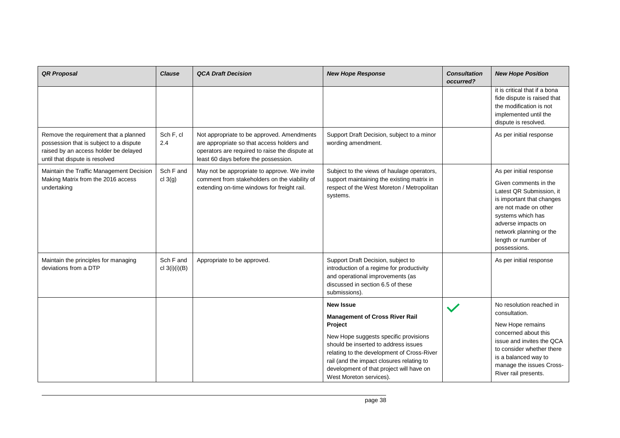| <b>QR Proposal</b>                                                                                                                                          | <b>Clause</b>                | <b>QCA Draft Decision</b>                                                                                                                                                          | <b>New Hope Response</b>                                                                                                                                                                                                                                                                            | <b>Consultation</b><br>occurred? | <b>New Hope Position</b>                                                                                                                                                                                                                        |
|-------------------------------------------------------------------------------------------------------------------------------------------------------------|------------------------------|------------------------------------------------------------------------------------------------------------------------------------------------------------------------------------|-----------------------------------------------------------------------------------------------------------------------------------------------------------------------------------------------------------------------------------------------------------------------------------------------------|----------------------------------|-------------------------------------------------------------------------------------------------------------------------------------------------------------------------------------------------------------------------------------------------|
|                                                                                                                                                             |                              |                                                                                                                                                                                    |                                                                                                                                                                                                                                                                                                     |                                  | it is critical that if a bona<br>fide dispute is raised that<br>the modification is not<br>implemented until the<br>dispute is resolved.                                                                                                        |
| Remove the requirement that a planned<br>possession that is subject to a dispute<br>raised by an access holder be delayed<br>until that dispute is resolved | Sch F, cl<br>2.4             | Not appropriate to be approved. Amendments<br>are appropriate so that access holders and<br>operators are required to raise the dispute at<br>least 60 days before the possession. | Support Draft Decision, subject to a minor<br>wording amendment.                                                                                                                                                                                                                                    |                                  | As per initial response                                                                                                                                                                                                                         |
| Maintain the Traffic Management Decision<br>Making Matrix from the 2016 access<br>undertaking                                                               | Sch F and<br>cl 3(g)         | May not be appropriate to approve. We invite<br>comment from stakeholders on the viability of<br>extending on-time windows for freight rail.                                       | Subject to the views of haulage operators,<br>support maintaining the existing matrix in<br>respect of the West Moreton / Metropolitan<br>systems.                                                                                                                                                  |                                  | As per initial response<br>Given comments in the<br>Latest QR Submission, it<br>is important that changes<br>are not made on other<br>systems which has<br>adverse impacts on<br>network planning or the<br>length or number of<br>possessions. |
| Maintain the principles for managing<br>deviations from a DTP                                                                                               | Sch F and<br>cl $3(i)(i)(B)$ | Appropriate to be approved.                                                                                                                                                        | Support Draft Decision, subject to<br>introduction of a regime for productivity<br>and operational improvements (as<br>discussed in section 6.5 of these<br>submissions).                                                                                                                           |                                  | As per initial response                                                                                                                                                                                                                         |
|                                                                                                                                                             |                              |                                                                                                                                                                                    | <b>New Issue</b>                                                                                                                                                                                                                                                                                    |                                  | No resolution reached in                                                                                                                                                                                                                        |
|                                                                                                                                                             |                              |                                                                                                                                                                                    | <b>Management of Cross River Rail</b><br>Project<br>New Hope suggests specific provisions<br>should be inserted to address issues<br>relating to the development of Cross-River<br>rail (and the impact closures relating to<br>development of that project will have on<br>West Moreton services). |                                  | consultation.<br>New Hope remains<br>concerned about this<br>issue and invites the QCA<br>to consider whether there<br>is a balanced way to<br>manage the issues Cross-<br>River rail presents.                                                 |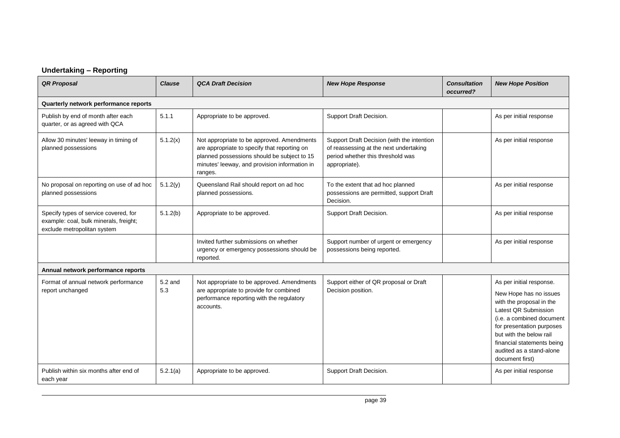## **Undertaking – Reporting**

| <b>QR Proposal</b>                                                                                             | <b>Clause</b>  | <b>QCA Draft Decision</b>                                                                                                                                                                             | <b>New Hope Response</b>                                                                                                                   | <b>Consultation</b><br>occurred? | <b>New Hope Position</b>                                                                                                                                                                                                                                                 |  |  |
|----------------------------------------------------------------------------------------------------------------|----------------|-------------------------------------------------------------------------------------------------------------------------------------------------------------------------------------------------------|--------------------------------------------------------------------------------------------------------------------------------------------|----------------------------------|--------------------------------------------------------------------------------------------------------------------------------------------------------------------------------------------------------------------------------------------------------------------------|--|--|
| Quarterly network performance reports                                                                          |                |                                                                                                                                                                                                       |                                                                                                                                            |                                  |                                                                                                                                                                                                                                                                          |  |  |
| Publish by end of month after each<br>quarter, or as agreed with QCA                                           | 5.1.1          | Appropriate to be approved.                                                                                                                                                                           | Support Draft Decision.                                                                                                                    |                                  | As per initial response                                                                                                                                                                                                                                                  |  |  |
| Allow 30 minutes' leeway in timing of<br>planned possessions                                                   | 5.1.2(x)       | Not appropriate to be approved. Amendments<br>are appropriate to specify that reporting on<br>planned possessions should be subject to 15<br>minutes' leeway, and provision information in<br>ranges. | Support Draft Decision (with the intention<br>of reassessing at the next undertaking<br>period whether this threshold was<br>appropriate). |                                  | As per initial response                                                                                                                                                                                                                                                  |  |  |
| No proposal on reporting on use of ad hoc<br>planned possessions                                               | 5.1.2(y)       | Queensland Rail should report on ad hoc<br>planned possessions.                                                                                                                                       | To the extent that ad hoc planned<br>possessions are permitted, support Draft<br>Decision.                                                 |                                  | As per initial response                                                                                                                                                                                                                                                  |  |  |
| Specify types of service covered, for<br>example: coal, bulk minerals, freight;<br>exclude metropolitan system | 5.1.2(b)       | Appropriate to be approved.                                                                                                                                                                           | Support Draft Decision.                                                                                                                    |                                  | As per initial response                                                                                                                                                                                                                                                  |  |  |
|                                                                                                                |                | Invited further submissions on whether<br>urgency or emergency possessions should be<br>reported.                                                                                                     | Support number of urgent or emergency<br>possessions being reported.                                                                       |                                  | As per initial response                                                                                                                                                                                                                                                  |  |  |
| Annual network performance reports                                                                             |                |                                                                                                                                                                                                       |                                                                                                                                            |                                  |                                                                                                                                                                                                                                                                          |  |  |
| Format of annual network performance<br>report unchanged                                                       | 5.2 and<br>5.3 | Not appropriate to be approved. Amendments<br>are appropriate to provide for combined<br>performance reporting with the regulatory<br>accounts.                                                       | Support either of QR proposal or Draft<br>Decision position.                                                                               |                                  | As per initial response.<br>New Hope has no issues<br>with the proposal in the<br>Latest QR Submission<br>(i.e. a combined document<br>for presentation purposes<br>but with the below rail<br>financial statements being<br>audited as a stand-alone<br>document first) |  |  |
| Publish within six months after end of<br>each year                                                            | 5.2.1(a)       | Appropriate to be approved.                                                                                                                                                                           | Support Draft Decision.                                                                                                                    |                                  | As per initial response                                                                                                                                                                                                                                                  |  |  |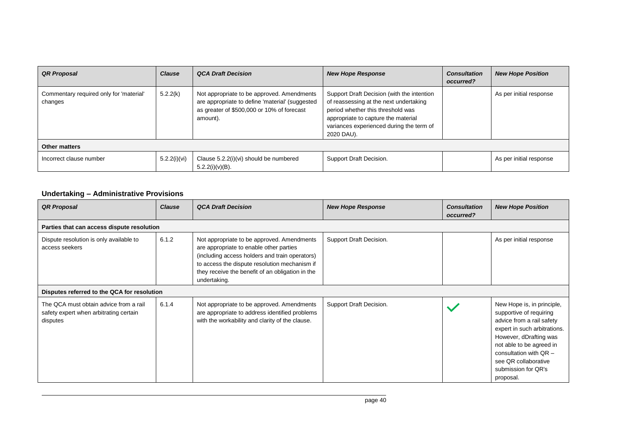| <b>QR Proposal</b>                                 | <b>Clause</b> | <b>QCA Draft Decision</b>                                                                                                                               | <b>New Hope Response</b>                                                                                                                                                                                                   | <b>Consultation</b><br>occurred? | <b>New Hope Position</b> |  |  |  |  |
|----------------------------------------------------|---------------|---------------------------------------------------------------------------------------------------------------------------------------------------------|----------------------------------------------------------------------------------------------------------------------------------------------------------------------------------------------------------------------------|----------------------------------|--------------------------|--|--|--|--|
| Commentary required only for 'material'<br>changes | 5.2.2(k)      | Not appropriate to be approved. Amendments<br>are appropriate to define 'material' (suggested<br>as greater of \$500,000 or 10% of forecast<br>amount). | Support Draft Decision (with the intention<br>of reassessing at the next undertaking<br>period whether this threshold was<br>appropriate to capture the material<br>variances experienced during the term of<br>2020 DAU). |                                  | As per initial response  |  |  |  |  |
| <b>Other matters</b>                               |               |                                                                                                                                                         |                                                                                                                                                                                                                            |                                  |                          |  |  |  |  |
| Incorrect clause number                            | 5.2.2(i)(vi)  | Clause 5.2.2(i)(vi) should be numbered<br>$5.2.2(i)(v)(B)$ .                                                                                            | Support Draft Decision.                                                                                                                                                                                                    |                                  | As per initial response  |  |  |  |  |

## **Undertaking – Administrative Provisions**

| <b>QR Proposal</b>                                                                           | <b>Clause</b> | <b>QCA Draft Decision</b>                                                                                                                                                                                                                                    | <b>New Hope Response</b> | <b>Consultation</b><br>occurred? | <b>New Hope Position</b>                                                                                                                                                                                                                                         |
|----------------------------------------------------------------------------------------------|---------------|--------------------------------------------------------------------------------------------------------------------------------------------------------------------------------------------------------------------------------------------------------------|--------------------------|----------------------------------|------------------------------------------------------------------------------------------------------------------------------------------------------------------------------------------------------------------------------------------------------------------|
| Parties that can access dispute resolution                                                   |               |                                                                                                                                                                                                                                                              |                          |                                  |                                                                                                                                                                                                                                                                  |
| Dispute resolution is only available to<br>access seekers                                    | 6.1.2         | Not appropriate to be approved. Amendments<br>are appropriate to enable other parties<br>(including access holders and train operators)<br>to access the dispute resolution mechanism if<br>they receive the benefit of an obligation in the<br>undertaking. | Support Draft Decision.  |                                  | As per initial response                                                                                                                                                                                                                                          |
| Disputes referred to the QCA for resolution                                                  |               |                                                                                                                                                                                                                                                              |                          |                                  |                                                                                                                                                                                                                                                                  |
| The QCA must obtain advice from a rail<br>safety expert when arbitrating certain<br>disputes | 6.1.4         | Not appropriate to be approved. Amendments<br>are appropriate to address identified problems<br>with the workability and clarity of the clause.                                                                                                              | Support Draft Decision.  |                                  | New Hope is, in principle,<br>supportive of requiring<br>advice from a rail safety<br>expert in such arbitrations.<br>However, dDrafting was<br>not able to be agreed in<br>consultation with $QR -$<br>see QR collaborative<br>submission for QR's<br>proposal. |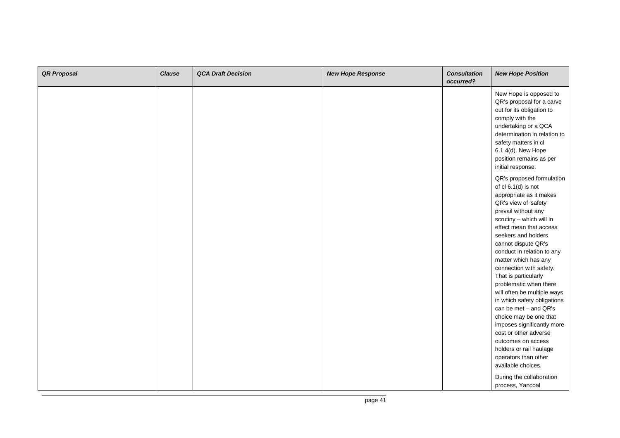| <b>QR Proposal</b> | <b>Clause</b> | <b>QCA Draft Decision</b> | <b>New Hope Response</b> | <b>Consultation</b><br>occurred? | <b>New Hope Position</b>                                                                                                                                                                                                                                                                                                                                                                                                                                   |
|--------------------|---------------|---------------------------|--------------------------|----------------------------------|------------------------------------------------------------------------------------------------------------------------------------------------------------------------------------------------------------------------------------------------------------------------------------------------------------------------------------------------------------------------------------------------------------------------------------------------------------|
|                    |               |                           |                          |                                  | New Hope is opposed to<br>QR's proposal for a carve<br>out for its obligation to<br>comply with the<br>undertaking or a QCA<br>determination in relation to<br>safety matters in cl<br>6.1.4(d). New Hope<br>position remains as per<br>initial response.                                                                                                                                                                                                  |
|                    |               |                           |                          |                                  | QR's proposed formulation<br>of cl 6.1(d) is not<br>appropriate as it makes<br>QR's view of 'safety'<br>prevail without any<br>scrutiny - which will in<br>effect mean that access<br>seekers and holders<br>cannot dispute QR's<br>conduct in relation to any<br>matter which has any<br>connection with safety.<br>That is particularly<br>problematic when there<br>will often be multiple ways<br>in which safety obligations<br>can be met - and QR's |
|                    |               |                           |                          |                                  | choice may be one that<br>imposes significantly more<br>cost or other adverse<br>outcomes on access<br>holders or rail haulage<br>operators than other<br>available choices.<br>During the collaboration<br>process, Yancoal                                                                                                                                                                                                                               |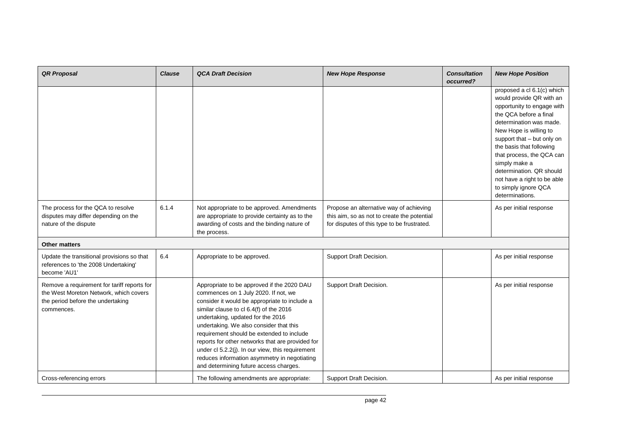| <b>QR Proposal</b>                                                                                                                       | <b>Clause</b> | <b>QCA Draft Decision</b>                                                                                                                                                                                                                                                                                                                                                                                                                                                                                     | <b>New Hope Response</b>                                                                                                              | <b>Consultation</b><br>occurred? | <b>New Hope Position</b>                                                                                                                                                                                                                                                                                                                                                          |
|------------------------------------------------------------------------------------------------------------------------------------------|---------------|---------------------------------------------------------------------------------------------------------------------------------------------------------------------------------------------------------------------------------------------------------------------------------------------------------------------------------------------------------------------------------------------------------------------------------------------------------------------------------------------------------------|---------------------------------------------------------------------------------------------------------------------------------------|----------------------------------|-----------------------------------------------------------------------------------------------------------------------------------------------------------------------------------------------------------------------------------------------------------------------------------------------------------------------------------------------------------------------------------|
|                                                                                                                                          |               |                                                                                                                                                                                                                                                                                                                                                                                                                                                                                                               |                                                                                                                                       |                                  | proposed a cl 6.1(c) which<br>would provide QR with an<br>opportunity to engage with<br>the QCA before a final<br>determination was made.<br>New Hope is willing to<br>support that - but only on<br>the basis that following<br>that process, the QCA can<br>simply make a<br>determination. QR should<br>not have a right to be able<br>to simply ignore QCA<br>determinations. |
| The process for the QCA to resolve<br>disputes may differ depending on the<br>nature of the dispute                                      | 6.1.4         | Not appropriate to be approved. Amendments<br>are appropriate to provide certainty as to the<br>awarding of costs and the binding nature of<br>the process.                                                                                                                                                                                                                                                                                                                                                   | Propose an alternative way of achieving<br>this aim, so as not to create the potential<br>for disputes of this type to be frustrated. |                                  | As per initial response                                                                                                                                                                                                                                                                                                                                                           |
| <b>Other matters</b>                                                                                                                     |               |                                                                                                                                                                                                                                                                                                                                                                                                                                                                                                               |                                                                                                                                       |                                  |                                                                                                                                                                                                                                                                                                                                                                                   |
| Update the transitional provisions so that<br>references to 'the 2008 Undertaking'<br>become 'AU1'                                       | 6.4           | Appropriate to be approved.                                                                                                                                                                                                                                                                                                                                                                                                                                                                                   | Support Draft Decision.                                                                                                               |                                  | As per initial response                                                                                                                                                                                                                                                                                                                                                           |
| Remove a requirement for tariff reports for<br>the West Moreton Network, which covers<br>the period before the undertaking<br>commences. |               | Appropriate to be approved if the 2020 DAU<br>commences on 1 July 2020. If not, we<br>consider it would be appropriate to include a<br>similar clause to cl 6.4(f) of the 2016<br>undertaking, updated for the 2016<br>undertaking. We also consider that this<br>requirement should be extended to include<br>reports for other networks that are provided for<br>under cl 5.2.2(j). In our view, this requirement<br>reduces information asymmetry in negotiating<br>and determining future access charges. | Support Draft Decision.                                                                                                               |                                  | As per initial response                                                                                                                                                                                                                                                                                                                                                           |
| Cross-referencing errors                                                                                                                 |               | The following amendments are appropriate:                                                                                                                                                                                                                                                                                                                                                                                                                                                                     | Support Draft Decision.                                                                                                               |                                  | As per initial response                                                                                                                                                                                                                                                                                                                                                           |